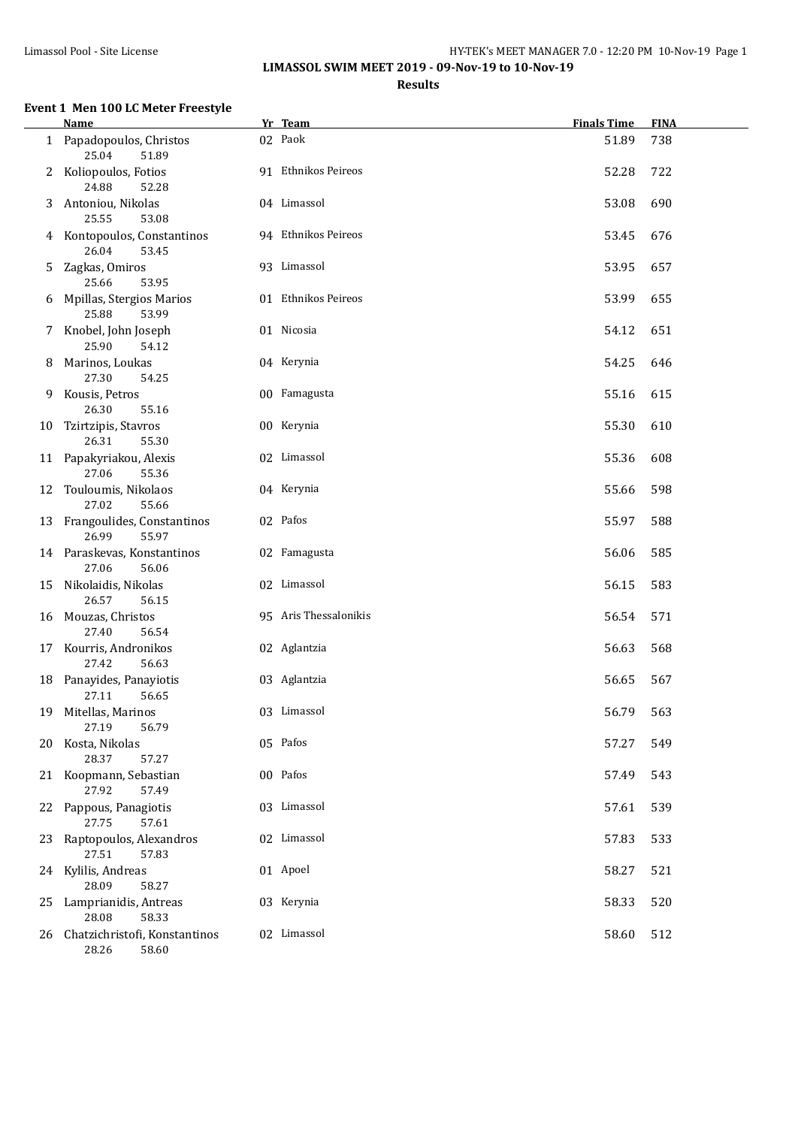## Limassol Pool - Site License HY-TEK's MEET MANAGER 7.0 - 12:20 PM 10-Nov-19 Page 1 **LIMASSOL SWIM MEET 2019 - 09-Nov-19 to 10-Nov-19**

# **Results**

# **Event 1 Men 100 LC Meter Freestyle**

|    | <b>Name</b>                                     | Yr Team               | <b>Finals Time</b> | <b>FINA</b> |
|----|-------------------------------------------------|-----------------------|--------------------|-------------|
|    | 1 Papadopoulos, Christos<br>25.04<br>51.89      | 02 Paok               | 51.89              | 738         |
| 2  | Koliopoulos, Fotios<br>24.88<br>52.28           | 91 Ethnikos Peireos   | 52.28              | 722         |
| 3  | Antoniou, Nikolas<br>53.08<br>25.55             | 04 Limassol           | 53.08              | 690         |
|    | 4 Kontopoulos, Constantinos<br>26.04<br>53.45   | 94 Ethnikos Peireos   | 53.45              | 676         |
| 5  | Zagkas, Omiros<br>25.66<br>53.95                | 93 Limassol           | 53.95              | 657         |
| 6  | Mpillas, Stergios Marios<br>25.88<br>53.99      | 01 Ethnikos Peireos   | 53.99              | 655         |
| 7  | Knobel, John Joseph<br>25.90<br>54.12           | 01 Nicosia            | 54.12              | 651         |
| 8  | Marinos, Loukas<br>27.30<br>54.25               | 04 Kerynia            | 54.25              | 646         |
| 9  | Kousis, Petros<br>26.30<br>55.16                | 00 Famagusta          | 55.16              | 615         |
| 10 | Tzirtzipis, Stavros<br>26.31<br>55.30           | 00 Kerynia            | 55.30              | 610         |
| 11 | Papakyriakou, Alexis<br>27.06<br>55.36          | 02 Limassol           | 55.36              | 608         |
| 12 | Touloumis, Nikolaos<br>27.02<br>55.66           | 04 Kerynia            | 55.66              | 598         |
| 13 | Frangoulides, Constantinos<br>26.99<br>55.97    | 02 Pafos              | 55.97              | 588         |
|    | 14 Paraskevas, Konstantinos<br>27.06<br>56.06   | 02 Famagusta          | 56.06              | 585         |
| 15 | Nikolaidis, Nikolas<br>26.57<br>56.15           | 02 Limassol           | 56.15              | 583         |
| 16 | Mouzas, Christos<br>27.40<br>56.54              | 95 Aris Thessalonikis | 56.54              | 571         |
| 17 | Kourris, Andronikos<br>27.42<br>56.63           | 02 Aglantzia          | 56.63              | 568         |
|    | 18 Panayides, Panayiotis<br>27.11<br>56.65      | 03 Aglantzia          | 56.65              | 567         |
| 19 | Mitellas, Marinos<br>27.19<br>56.79             | 03 Limassol           | 56.79              | 563         |
| 20 | Kosta, Nikolas<br>28.37<br>57.27                | 05 Pafos              | 57.27              | 549         |
|    | 21 Koopmann, Sebastian<br>27.92<br>57.49        | 00 Pafos              | 57.49              | 543         |
|    | 22 Pappous, Panagiotis<br>27.75<br>57.61        | 03 Limassol           | 57.61              | 539         |
|    | 23 Raptopoulos, Alexandros<br>27.51<br>57.83    | 02 Limassol           | 57.83              | 533         |
|    | 24 Kylilis, Andreas<br>28.09<br>58.27           | 01 Apoel              | 58.27              | 521         |
| 25 | Lamprianidis, Antreas<br>28.08<br>58.33         | 03 Kerynia            | 58.33              | 520         |
| 26 | Chatzichristofi, Konstantinos<br>28.26<br>58.60 | 02 Limassol           | 58.60              | 512         |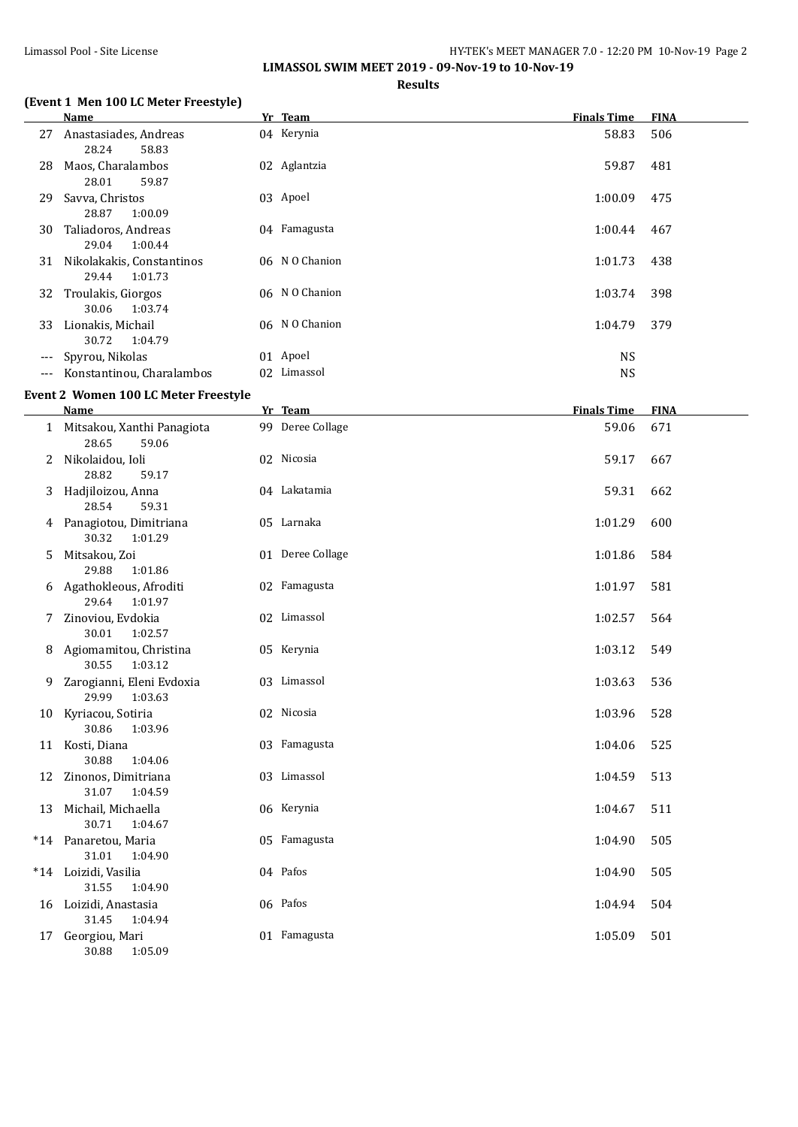**LIMASSOL SWIM MEET 2019 - 09-Nov-19 to 10-Nov-19**

#### **(Event 1 Men 100 LC Meter Freestyle)**

# **Results**

|     | (Event 1 Men 100 LC Meter Freestyle)             |                  |                    |             |
|-----|--------------------------------------------------|------------------|--------------------|-------------|
|     | <b>Name</b>                                      | Yr Team          | <b>Finals Time</b> | <b>FINA</b> |
|     | 27 Anastasiades, Andreas<br>28.24<br>58.83       | 04 Kerynia       | 58.83              | 506         |
|     | 28 Maos, Charalambos<br>28.01<br>59.87           | 02 Aglantzia     | 59.87              | 481         |
| 29  | Savva, Christos<br>28.87<br>1:00.09              | 03 Apoel         | 1:00.09            | 475         |
|     | 30 Taliadoros, Andreas<br>29.04<br>1:00.44       | 04 Famagusta     | 1:00.44            | 467         |
|     | 31 Nikolakakis, Constantinos<br>29.44<br>1:01.73 | 06 NO Chanion    | 1:01.73            | 438         |
|     | 32 Troulakis, Giorgos<br>30.06<br>1:03.74        | 06 N O Chanion   | 1:03.74            | 398         |
|     | 33 Lionakis, Michail<br>30.72<br>1:04.79         | 06 N O Chanion   | 1:04.79            | 379         |
| --- | Spyrou, Nikolas                                  | 01 Apoel         | <b>NS</b>          |             |
| --- | Konstantinou, Charalambos                        | 02 Limassol      | <b>NS</b>          |             |
|     | <b>Event 2 Women 100 LC Meter Freestyle</b>      |                  |                    |             |
|     | Name                                             | Yr Team          | <b>Finals Time</b> | <b>FINA</b> |
|     | 1 Mitsakou, Xanthi Panagiota<br>28.65<br>59.06   | 99 Deree Collage | 59.06              | 671         |
| 2   | Nikolaidou, Ioli<br>28.82<br>59.17               | 02 Nicosia       | 59.17              | 667         |
| 3   | Hadjiloizou, Anna<br>28.54<br>59.31              | 04 Lakatamia     | 59.31              | 662         |
|     | 4 Panagiotou, Dimitriana<br>30.32<br>1:01.29     | 05 Larnaka       | 1:01.29            | 600         |
| 5.  | Mitsakou, Zoi<br>29.88<br>1:01.86                | 01 Deree Collage | 1:01.86            | 584         |
|     | 6 Agathokleous, Afroditi<br>29.64<br>1:01.97     | 02 Famagusta     | 1:01.97            | 581         |
| 7   | Zinoviou, Evdokia<br>30.01<br>1:02.57            | 02 Limassol      | 1:02.57            | 564         |
|     | 8 Agiomamitou, Christina<br>1:03.12<br>30.55     | 05 Kerynia       | 1:03.12            | 549         |
| 9   | Zarogianni, Eleni Evdoxia<br>29.99 1:03.63       | 03 Limassol      | 1:03.63            | 536         |
|     | 10 Kyriacou, Sotiria<br>30.86<br>1:03.96         | 02 Nicosia       | 1:03.96            | 528         |
|     | 11 Kosti, Diana<br>30.88<br>1:04.06              | 03 Famagusta     | 1:04.06            | 525         |
| 12  | Zinonos, Dimitriana<br>31.07<br>1:04.59          | 03 Limassol      | 1:04.59            | 513         |
| 13  | Michail, Michaella<br>30.71<br>1:04.67           | 06 Kerynia       | 1:04.67            | 511         |
|     | *14 Panaretou, Maria<br>31.01<br>1:04.90         | 05 Famagusta     | 1:04.90            | 505         |
|     | *14 Loizidi, Vasilia<br>31.55<br>1:04.90         | 04 Pafos         | 1:04.90            | 505         |
|     | 16 Loizidi, Anastasia<br>31.45<br>1:04.94        | 06 Pafos         | 1:04.94            | 504         |
| 17  | Georgiou, Mari<br>30.88<br>1:05.09               | 01 Famagusta     | 1:05.09            | 501         |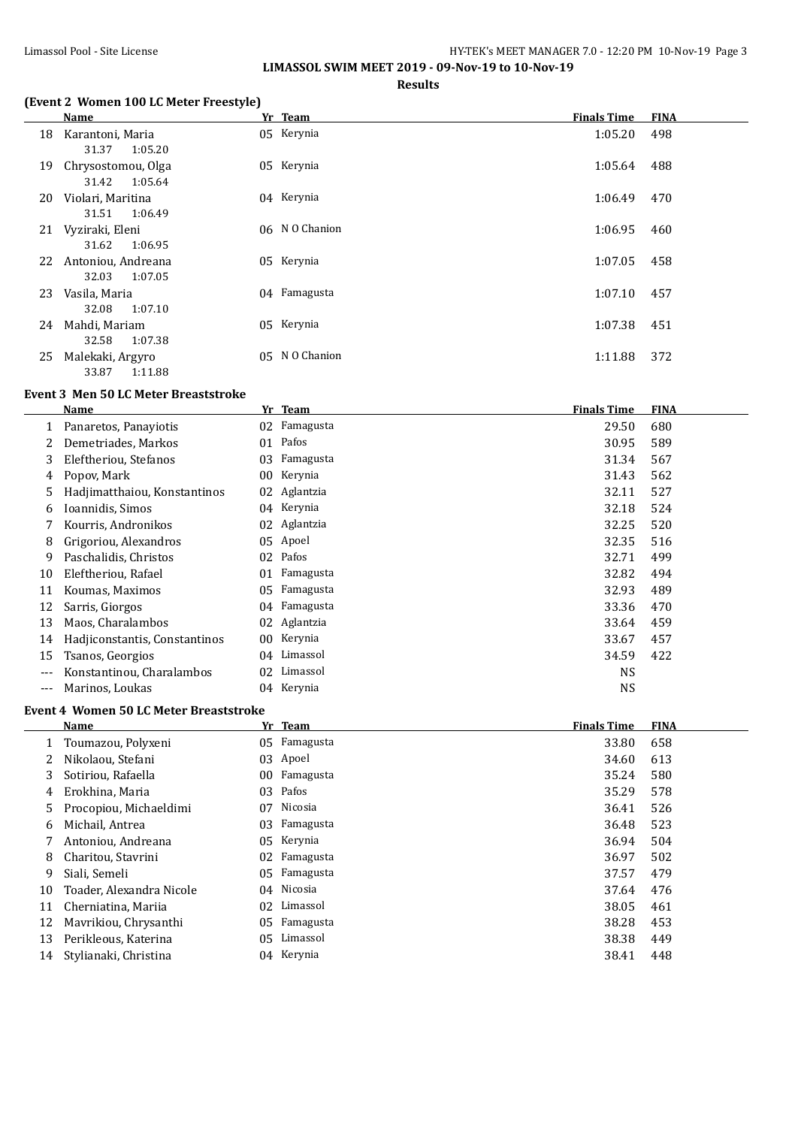**LIMASSOL SWIM MEET 2019 - 09-Nov-19 to 10-Nov-19**

### **Results**

# **(Event 2 Women 100 LC Meter Freestyle)**

|    | <b>Name</b>                                                | Yr Team        | <b>Finals Time</b> | <b>FINA</b> |
|----|------------------------------------------------------------|----------------|--------------------|-------------|
| 18 | Karantoni, Maria                                           | 05 Kerynia     | 1:05.20            | 498         |
| 19 | 1:05.20<br>31.37<br>Chrysostomou, Olga<br>31.42<br>1:05.64 | 05 Kerynia     | 1:05.64            | 488         |
| 20 | Violari, Maritina<br>1:06.49<br>31.51                      | 04 Kerynia     | 1:06.49            | 470         |
| 21 | Vyziraki, Eleni<br>31.62<br>1:06.95                        | 06 N O Chanion | 1:06.95            | 460         |
| 22 | Antoniou, Andreana<br>32.03<br>1:07.05                     | 05 Kerynia     | 1:07.05            | 458         |
| 23 | Vasila, Maria<br>1:07.10<br>32.08                          | 04 Famagusta   | 1:07.10            | 457         |
| 24 | Mahdi, Mariam<br>32.58<br>1:07.38                          | 05 Kerynia     | 1:07.38            | 451         |
| 25 | Malekaki, Argyro<br>33.87<br>1:11.88                       | 05 N O Chanion | 1:11.88            | 372         |

#### **Event 3 Men 50 LC Meter Breaststroke**

|       | Name                          | Yr | <b>Team</b> | <b>Finals Time</b> | <b>FINA</b> |
|-------|-------------------------------|----|-------------|--------------------|-------------|
|       | Panaretos, Panaviotis         | 02 | Famagusta   | 29.50              | 680         |
|       | Demetriades, Markos           | 01 | Pafos       | 30.95              | 589         |
| 3     | Eleftheriou, Stefanos         | 03 | Famagusta   | 31.34              | 567         |
| 4     | Popov, Mark                   | 00 | Kerynia     | 31.43              | 562         |
| 5     | Hadjimatthaiou, Konstantinos  | 02 | Aglantzia   | 32.11              | 527         |
| 6     | Ioannidis, Simos              | 04 | Kerynia     | 32.18              | 524         |
|       | Kourris, Andronikos           | 02 | Aglantzia   | 32.25              | 520         |
| 8     | Grigoriou, Alexandros         | 05 | Apoel       | 32.35              | 516         |
| 9     | Paschalidis, Christos         | 02 | Pafos       | 32.71              | 499         |
| 10    | Eleftheriou, Rafael           | 01 | Famagusta   | 32.82              | 494         |
| 11    | Koumas, Maximos               | 05 | Famagusta   | 32.93              | 489         |
| 12    | Sarris, Giorgos               | 04 | Famagusta   | 33.36              | 470         |
| 13    | Maos, Charalambos             | 02 | Aglantzia   | 33.64              | 459         |
| 14    | Hadjiconstantis, Constantinos | 00 | Kerynia     | 33.67              | 457         |
| 15    | Tsanos, Georgios              | 04 | Limassol    | 34.59              | 422         |
| $---$ | Konstantinou, Charalambos     | 02 | Limassol    | <b>NS</b>          |             |
|       | Marinos, Loukas               | 04 | Kerynia     | <b>NS</b>          |             |
|       |                               |    |             |                    |             |

# **Event 4 Women 50 LC Meter Breaststroke**

|    | Name                     | Yr | <b>Team</b> | <b>Finals Time</b> | <b>FINA</b> |
|----|--------------------------|----|-------------|--------------------|-------------|
|    | Toumazou, Polyxeni       | 05 | Famagusta   | 33.80              | 658         |
|    | Nikolaou, Stefani        | 03 | Apoel       | 34.60              | 613         |
| 3  | Sotiriou, Rafaella       | 00 | Famagusta   | 35.24              | 580         |
| 4  | Erokhina, Maria          | 03 | Pafos       | 35.29              | 578         |
| 5. | Procopiou, Michaeldimi   | 07 | Nicosia     | 36.41              | 526         |
| 6  | Michail, Antrea          | 03 | Famagusta   | 36.48              | 523         |
|    | Antoniou, Andreana       | 05 | Kerynia     | 36.94              | 504         |
| 8  | Charitou, Stavrini       | 02 | Famagusta   | 36.97              | 502         |
| 9  | Siali, Semeli            | 05 | Famagusta   | 37.57              | 479         |
| 10 | Toader, Alexandra Nicole | 04 | Nicosia     | 37.64              | 476         |
| 11 | Cherniatina, Mariia      | 02 | Limassol    | 38.05              | 461         |
| 12 | Mavrikiou, Chrysanthi    | 05 | Famagusta   | 38.28              | 453         |
| 13 | Perikleous, Katerina     | 05 | Limassol    | 38.38              | 449         |
| 14 | Stylianaki, Christina    |    | 04 Kerynia  | 38.41              | 448         |
|    |                          |    |             |                    |             |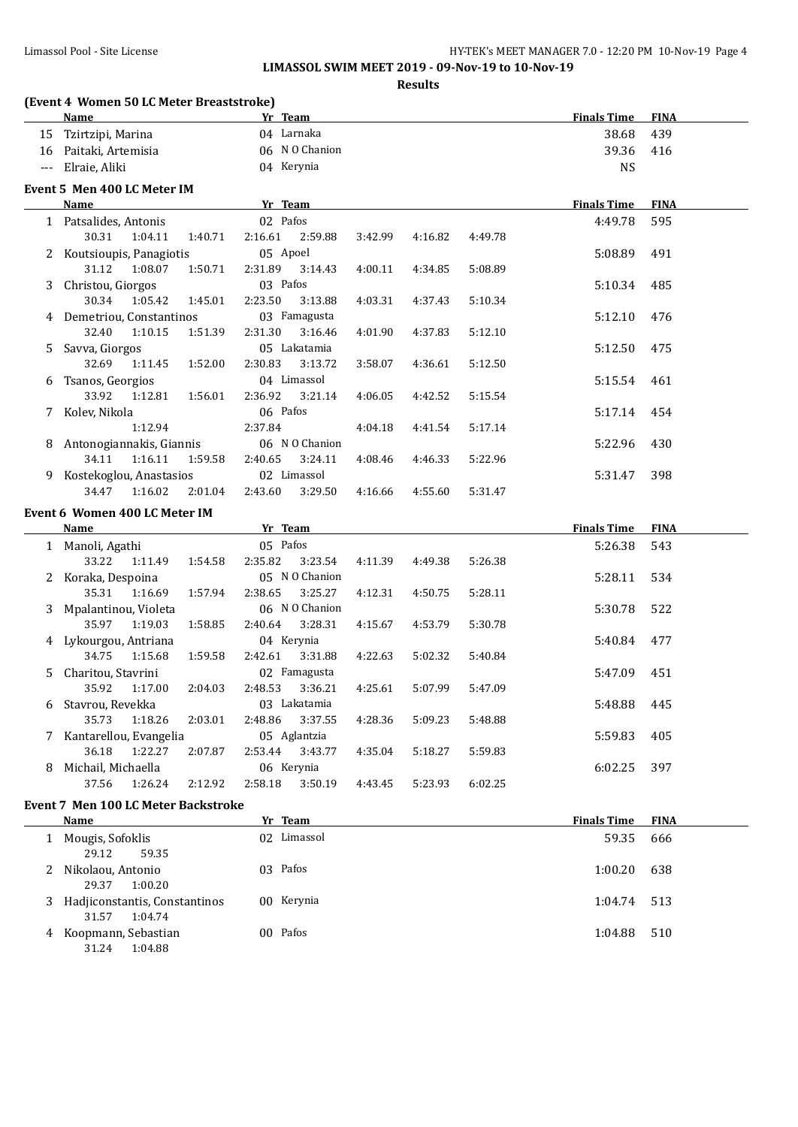**LIMASSOL SWIM MEET 2019 - 09-Nov-19 to 10-Nov-19**

**Results**

#### **(Event 4 Women 50 LC Meter Breaststroke)**

|       | (Event 4 Women 50 LC Meter Breaststroke) |         |          |                |         |         |         |                    |             |
|-------|------------------------------------------|---------|----------|----------------|---------|---------|---------|--------------------|-------------|
|       | <b>Name</b>                              |         | Yr Team  |                |         |         |         | <b>Finals Time</b> | <b>FINA</b> |
|       | 15 Tzirtzipi, Marina                     |         |          | 04 Larnaka     |         |         |         | 38.68              | 439         |
|       | 16 Paitaki, Artemisia                    |         |          | 06 N O Chanion |         |         |         | 39.36              | 416         |
| $---$ | Elraie, Aliki                            |         |          | 04 Kerynia     |         |         |         | <b>NS</b>          |             |
|       | Event 5 Men 400 LC Meter IM              |         |          |                |         |         |         |                    |             |
|       | <b>Name</b>                              |         | Yr Team  |                |         |         |         | <b>Finals Time</b> | <b>FINA</b> |
|       | 1 Patsalides, Antonis                    |         | 02 Pafos |                |         |         |         | 4:49.78            | 595         |
|       | 30.31<br>1:04.11                         | 1:40.71 | 2:16.61  | 2:59.88        | 3:42.99 | 4:16.82 | 4:49.78 |                    |             |
| 2     | Koutsioupis, Panagiotis                  |         | 05 Apoel |                |         |         |         | 5:08.89            | 491         |
|       | 31.12<br>1:08.07                         | 1:50.71 | 2:31.89  | 3:14.43        | 4:00.11 | 4:34.85 | 5:08.89 |                    |             |
| 3     | Christou, Giorgos                        |         | 03 Pafos |                |         |         |         | 5:10.34            | 485         |
|       | 30.34<br>1:05.42                         | 1:45.01 | 2:23.50  | 3:13.88        | 4:03.31 | 4:37.43 | 5:10.34 |                    |             |
|       | 4 Demetriou, Constantinos                |         |          | 03 Famagusta   |         |         |         | 5:12.10            | 476         |
|       | 32.40<br>1:10.15                         | 1:51.39 | 2:31.30  | 3:16.46        | 4:01.90 | 4:37.83 | 5:12.10 |                    |             |
| 5.    | Savva, Giorgos                           |         |          | 05 Lakatamia   |         |         |         | 5:12.50            | 475         |
|       | 32.69<br>1:11.45                         | 1:52.00 | 2:30.83  | 3:13.72        | 3:58.07 | 4:36.61 | 5:12.50 |                    |             |
| 6     | Tsanos, Georgios                         |         |          | 04 Limassol    |         |         |         | 5:15.54            | 461         |
|       | 33.92<br>1:12.81                         | 1:56.01 | 2:36.92  | 3:21.14        | 4:06.05 | 4:42.52 | 5:15.54 |                    |             |
|       | 7 Kolev, Nikola                          |         | 06 Pafos |                |         |         |         | 5:17.14            | 454         |
|       | 1:12.94                                  |         | 2:37.84  |                | 4:04.18 | 4:41.54 | 5:17.14 |                    |             |
| 8     | Antonogiannakis, Giannis                 |         |          | 06 N O Chanion |         |         |         | 5:22.96            | 430         |
|       | 34.11<br>1:16.11                         | 1:59.58 | 2:40.65  | 3:24.11        | 4:08.46 | 4:46.33 | 5:22.96 |                    |             |
| 9.    | Kostekoglou, Anastasios                  |         |          | 02 Limassol    |         |         |         | 5:31.47            | 398         |
|       | 34.47<br>1:16.02                         | 2:01.04 | 2:43.60  | 3:29.50        | 4:16.66 | 4:55.60 | 5:31.47 |                    |             |
|       | Event 6 Women 400 LC Meter IM            |         |          |                |         |         |         |                    |             |
|       | <b>Name</b>                              |         | Yr Team  |                |         |         |         | <b>Finals Time</b> | <b>FINA</b> |
|       | 1 Manoli, Agathi                         |         | 05 Pafos |                |         |         |         | 5:26.38            | 543         |
|       | 33.22<br>1:11.49                         | 1:54.58 | 2:35.82  | 3:23.54        | 4:11.39 | 4:49.38 | 5:26.38 |                    |             |
|       | 2 Koraka, Despoina                       |         |          | 05 N O Chanion |         |         |         | 5:28.11            | 534         |
|       | 35.31<br>1:16.69                         | 1:57.94 | 2:38.65  | 3:25.27        | 4:12.31 | 4:50.75 | 5:28.11 |                    |             |
| 3     | Mpalantinou, Violeta                     |         |          | 06 N O Chanion |         |         |         | 5:30.78            | 522         |
|       | 35.97<br>1:19.03                         | 1:58.85 | 2:40.64  | 3:28.31        | 4:15.67 | 4:53.79 | 5:30.78 |                    |             |
|       | 4 Lykourgou, Antriana                    |         |          | 04 Kerynia     |         |         |         | 5:40.84            | 477         |
|       | 34.75<br>1:15.68                         | 1:59.58 | 2:42.61  | 3:31.88        | 4:22.63 | 5:02.32 | 5:40.84 |                    |             |
| 5.    | Charitou, Stavrini                       |         |          | 02 Famagusta   |         |         |         | 5:47.09            | 451         |
|       | 35.92<br>1:17.00                         | 2:04.03 | 2:48.53  | 3:36.21        | 4:25.61 | 5:07.99 | 5:47.09 |                    |             |
|       | 6 Stavrou. Revekka                       |         |          | 03 Lakatamia   |         |         |         | 5:48.88            | 445         |

## 7 Kantarellou, Evangelia 05 Aglantzia 5:59.83 405 36.18 1:22.27 2:07.87 2:53.44 3:43.77 4:35.04 5:18.27 5:59.83 8 Michail, Michaella **6:02.25** 06 Kerynia 6:02.25 097 37.56 1:26.24 2:12.92 2:58.18 3:50.19 4:43.45 5:23.93 6:02.25

35.73 1:18.26 2:03.01 2:48.86 3:37.55 4:28.36 5:09.23 5:48.88

# **Event 7 Men 100 LC Meter Backstroke**

|   | Name                                              | Yr Team     | <b>Finals Time</b> | <b>FINA</b> |
|---|---------------------------------------------------|-------------|--------------------|-------------|
|   | Mougis, Sofoklis<br>59.35<br>29.12                | 02 Limassol | 59.35              | 666         |
|   | 2 Nikolaou, Antonio<br>1:00.20<br>29.37           | 03 Pafos    | 1:00.20            | 638         |
| 3 | Hadjiconstantis, Constantinos<br>31.57<br>1:04.74 | 00 Kerynia  | 1:04.74 513        |             |
| 4 | Koopmann, Sebastian<br>31.24<br>1:04.88           | 00 Pafos    | 1:04.88            | 510         |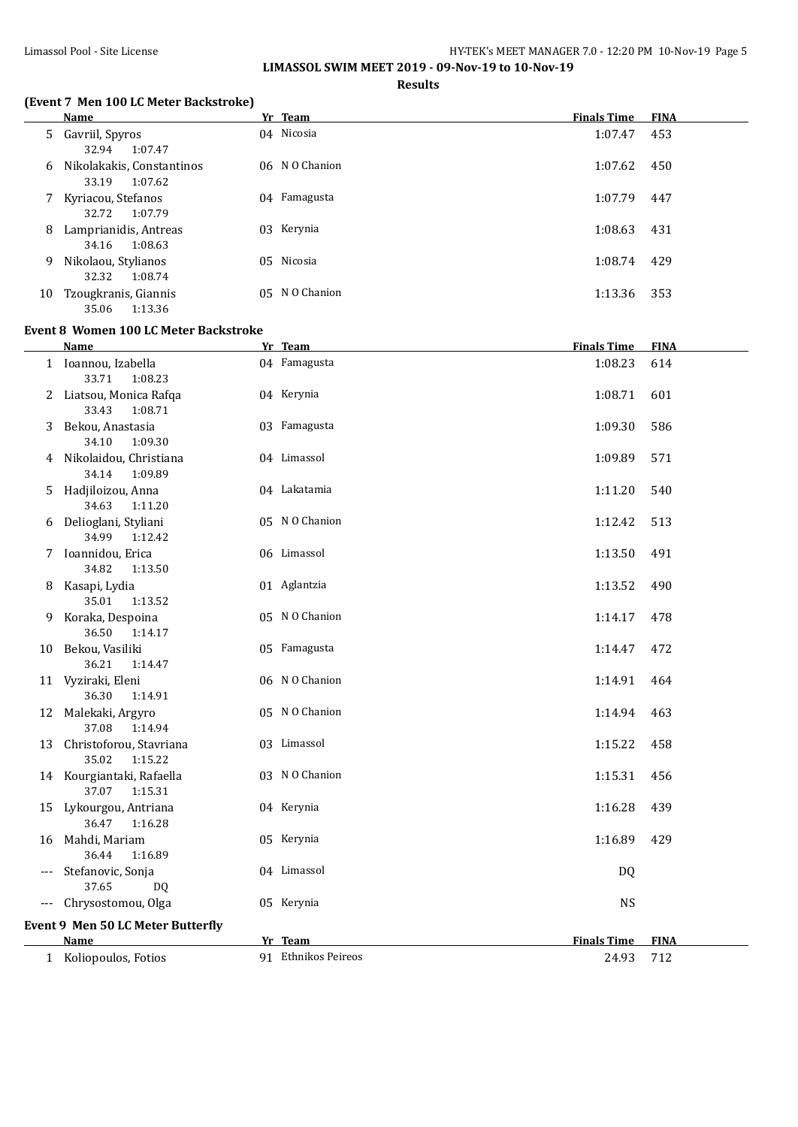# Limassol Pool - Site License HY-TEK's MEET MANAGER 7.0 - 12:20 PM 10-Nov-19 Page 5

**LIMASSOL SWIM MEET 2019 - 09-Nov-19 to 10-Nov-19**

## **Results**

# **(Event 7 Men 100 LC Meter Backstroke)**

|    | Name                                          | Yr Team        | <b>Finals Time</b> | <b>FINA</b> |
|----|-----------------------------------------------|----------------|--------------------|-------------|
|    | 5 Gavriil, Spyros<br>1:07.47<br>32.94         | 04 Nicosia     | 1:07.47            | 453         |
| 6  | Nikolakakis, Constantinos<br>33.19<br>1:07.62 | 06 N O Chanion | 1:07.62            | 450         |
| 7  | Kyriacou, Stefanos<br>1:07.79<br>32.72        | 04 Famagusta   | 1:07.79            | 447         |
| 8  | Lamprianidis, Antreas<br>1:08.63<br>34.16     | 03 Kerynia     | 1:08.63            | 431         |
| 9  | Nikolaou, Stylianos<br>1:08.74<br>32.32       | 05 Nicosia     | 1:08.74            | 429         |
| 10 | Tzougkranis, Giannis<br>1:13.36<br>35.06      | 05 N O Chanion | 1:13.36            | 353         |

## **Event 8 Women 100 LC Meter Backstroke**

|    | <b>Name</b>                                    | Yr Team             | <b>Finals Time</b> | <b>FINA</b> |
|----|------------------------------------------------|---------------------|--------------------|-------------|
|    | 1 Ioannou, Izabella<br>33.71<br>1:08.23        | 04 Famagusta        | 1:08.23            | 614         |
|    | 2 Liatsou, Monica Rafqa<br>33.43<br>1:08.71    | 04 Kerynia          | 1:08.71            | 601         |
| 3  | Bekou, Anastasia<br>34.10<br>1:09.30           | 03 Famagusta        | 1:09.30            | 586         |
|    | 4 Nikolaidou, Christiana<br>34.14<br>1:09.89   | 04 Limassol         | 1:09.89            | 571         |
| 5. | Hadjiloizou, Anna<br>34.63<br>1:11.20          | 04 Lakatamia        | 1:11.20            | 540         |
| 6  | Delioglani, Styliani<br>34.99<br>1:12.42       | 05 N O Chanion      | 1:12.42            | 513         |
| 7  | Ioannidou, Erica<br>34.82<br>1:13.50           | 06 Limassol         | 1:13.50            | 491         |
| 8  | Kasapi, Lydia<br>35.01<br>1:13.52              | 01 Aglantzia        | 1:13.52            | 490         |
| 9  | Koraka, Despoina<br>36.50<br>1:14.17           | 05 NO Chanion       | 1:14.17            | 478         |
|    | 10 Bekou, Vasiliki<br>36.21<br>1:14.47         | 05 Famagusta        | 1:14.47            | 472         |
|    | 11 Vyziraki, Eleni<br>36.30<br>1:14.91         | 06 N O Chanion      | 1:14.91            | 464         |
|    | 12 Malekaki, Argyro<br>37.08<br>1:14.94        | 05 NO Chanion       | 1:14.94            | 463         |
|    | 13 Christoforou, Stavriana<br>35.02<br>1:15.22 | 03 Limassol         | 1:15.22            | 458         |
|    | 14 Kourgiantaki, Rafaella<br>37.07<br>1:15.31  | 03 N O Chanion      | 1:15.31            | 456         |
|    | 15 Lykourgou, Antriana<br>36.47<br>1:16.28     | 04 Kerynia          | 1:16.28            | 439         |
| 16 | Mahdi, Mariam<br>36.44<br>1:16.89              | 05 Kerynia          | 1:16.89            | 429         |
|    | Stefanovic, Sonja<br>37.65<br>D <sub>0</sub>   | 04 Limassol         | DQ                 |             |
|    | --- Chrysostomou, Olga                         | 05 Kerynia          | <b>NS</b>          |             |
|    | Event 9 Men 50 LC Meter Butterfly              |                     |                    |             |
|    | Name                                           | Yr Team             | <b>Finals Time</b> | <b>FINA</b> |
|    | 1 Koliopoulos, Fotios                          | 91 Ethnikos Peireos | 24.93              | 712         |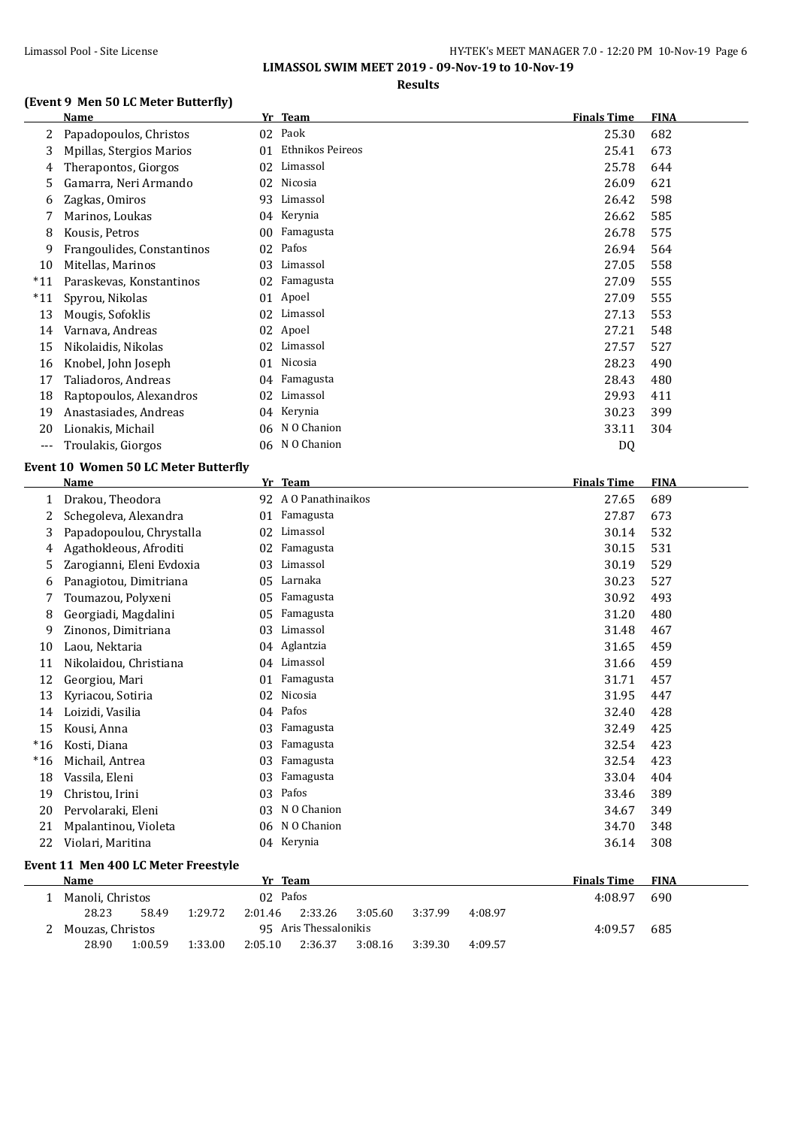**LIMASSOL SWIM MEET 2019 - 09-Nov-19 to 10-Nov-19**

**Results**

### **(Event 9 Men 50 LC Meter Butterfly)**

# **Name Yr Team Finals Time FINA** Papadopoulos, Christos 02 Paok 25.30 682 Mpillas, Stergios Marios 01 Ethnikos Peireos 25.41 673 4 Therapontos, Giorgos 02 Limassol 25.78 644 Gamarra, Neri Armando 02 Nicosia 26.09 621 Zagkas, Omiros 93 Limassol 26.42 598 Marinos, Loukas 04 Kerynia 26.62 585 Kousis, Petros 00 Famagusta 26.78 575 Frangoulides, Constantinos 02 Pafos 26.94 564 Mitellas, Marinos 03 Limassol 27.05 558 \*11 Paraskevas, Konstantinos 02 Famagusta 27.09 555 \*11 Spyrou, Nikolas 01 Apoel 27.09 555 Mougis, Sofoklis 02 Limassol 27.13 553 Varnava, Andreas 02 Apoel 27.21 548 Nikolaidis, Nikolas 02 Limassol 27.57 527 Knobel, John Joseph 01 Nicosia 28.23 490 Taliadoros, Andreas 04 Famagusta 28.43 480 Raptopoulos, Alexandros 02 Limassol 29.93 411 Anastasiades, Andreas 04 Kerynia 30.23 399 20 Lionakis, Michail 06 N O Chanion 33.11 304 --- Troulakis, Giorgos 06 N O Chanion DQ **Event 10 Women 50 LC Meter Butterfly**

|       | Name                                | Yr      | <b>Team</b>                              | <b>Finals Time</b> | <b>FINA</b> |
|-------|-------------------------------------|---------|------------------------------------------|--------------------|-------------|
| 1     | Drakou, Theodora                    |         | 92 A O Panathinaikos                     | 27.65              | 689         |
| 2     | Schegoleva, Alexandra               | 01      | Famagusta                                | 27.87              | 673         |
| 3     | Papadopoulou, Chrystalla            | 02      | Limassol                                 | 30.14              | 532         |
| 4     | Agathokleous, Afroditi              | 02      | Famagusta                                | 30.15              | 531         |
| 5     | Zarogianni, Eleni Evdoxia           | 03      | Limassol                                 | 30.19              | 529         |
| 6     | Panagiotou, Dimitriana              | 05      | Larnaka                                  | 30.23              | 527         |
| 7     | Toumazou, Polyxeni                  | 05      | Famagusta                                | 30.92              | 493         |
| 8     | Georgiadi, Magdalini                | 05      | Famagusta                                | 31.20              | 480         |
| 9     | Zinonos, Dimitriana                 | 03      | Limassol                                 | 31.48              | 467         |
| 10    | Laou, Nektaria                      |         | 04 Aglantzia                             | 31.65              | 459         |
| 11    | Nikolaidou, Christiana              | 04      | Limassol                                 | 31.66              | 459         |
| 12    | Georgiou, Mari                      | 01      | Famagusta                                | 31.71              | 457         |
| 13    | Kyriacou, Sotiria                   | 02      | Nicosia                                  | 31.95              | 447         |
| 14    | Loizidi, Vasilia                    | 04      | Pafos                                    | 32.40              | 428         |
| 15    | Kousi, Anna                         | 03      | Famagusta                                | 32.49              | 425         |
| $*16$ | Kosti, Diana                        | 03      | Famagusta                                | 32.54              | 423         |
| $*16$ | Michail, Antrea                     | 03      | Famagusta                                | 32.54              | 423         |
| 18    | Vassila, Eleni                      | 03      | Famagusta                                | 33.04              | 404         |
| 19    | Christou, Irini                     | 03      | Pafos                                    | 33.46              | 389         |
| 20    | Pervolaraki, Eleni                  | 03      | N O Chanion                              | 34.67              | 349         |
| 21    | Mpalantinou, Violeta                |         | 06 NO Chanion                            | 34.70              | 348         |
| 22    | Violari, Maritina                   |         | 04 Kerynia                               | 36.14              | 308         |
|       | Event 11 Men 400 LC Meter Freestyle |         |                                          |                    |             |
|       | <b>Name</b>                         |         | Yr Team                                  | <b>Finals Time</b> | <b>FINA</b> |
|       | Manoli, Christos                    |         | 02 Pafos                                 | 4:08.97            | 690         |
|       | 28.23<br>58.49<br>1:29.72           | 2:01.46 | 2:33.26<br>3:05.60<br>4:08.97<br>3:37.99 |                    |             |
| 2     | Mouzas, Christos                    |         | 95 Aris Thessalonikis                    | 4:09.57            | 685         |

28.90 1:00.59 1:33.00 2:05.10 2:36.37 3:08.16 3:39.30 4:09.57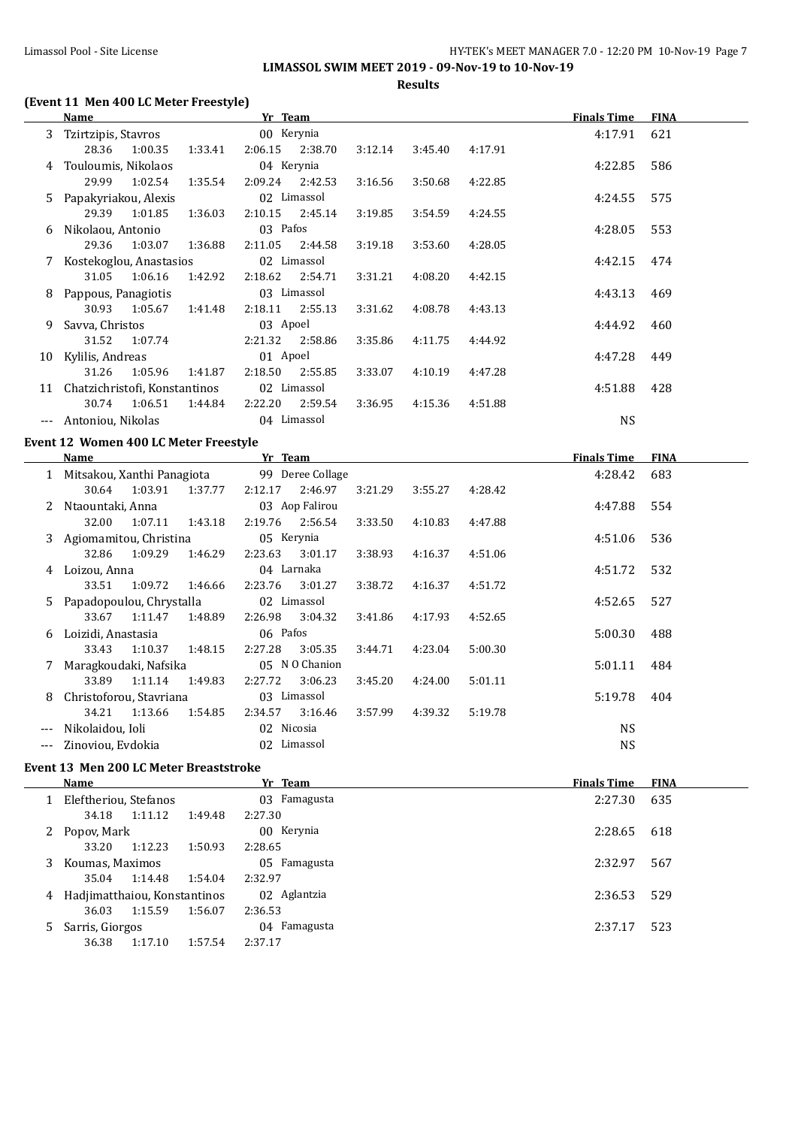**LIMASSOL SWIM MEET 2019 - 09-Nov-19 to 10-Nov-19**

**Results**

# **(Event 11 Men 400 LC Meter Freestyle)**

|   | <b>Name</b>                                                 | Yr Team                                |         |         |                                                   | <b>Finals Time</b> | <b>FINA</b> |
|---|-------------------------------------------------------------|----------------------------------------|---------|---------|---------------------------------------------------|--------------------|-------------|
| 3 | Tzirtzipis, Stavros                                         | 00 Kerynia                             |         |         |                                                   | 4:17.91            | 621         |
|   | 28.36<br>1:00.35<br>1:33.41                                 | 2:06.15<br>2:38.70                     | 3:12.14 | 3:45.40 | 4:17.91                                           |                    |             |
|   | 4 Touloumis, Nikolaos                                       | 04 Kerynia                             |         |         |                                                   | 4:22.85            | 586         |
|   | 29.99<br>1:02.54<br>1:35.54                                 | 2:09.24<br>2:42.53                     | 3:16.56 | 3:50.68 | 4:22.85                                           |                    |             |
|   | 5 Papakyriakou, Alexis                                      | 02 Limassol                            |         |         |                                                   | 4:24.55            | 575         |
|   | 29.39<br>1:01.85<br>1:36.03                                 | 2:10.15<br>2:45.14                     | 3:19.85 | 3:54.59 | 4:24.55                                           |                    |             |
|   | 6 Nikolaou, Antonio                                         | 03 Pafos                               |         |         |                                                   | 4:28.05            | 553         |
|   | 29.36<br>1:03.07<br>1:36.88                                 | 2:11.05<br>2:44.58                     | 3:19.18 | 3:53.60 | 4:28.05                                           |                    |             |
|   | 7 Kostekoglou, Anastasios                                   | 02 Limassol                            |         |         |                                                   | 4:42.15            | 474         |
|   | 31.05<br>1:06.16<br>1:42.92                                 | 2:18.62<br>2:54.71                     | 3:31.21 | 4:08.20 | 4:42.15                                           |                    |             |
|   | 8 Pappous, Panagiotis                                       | 03 Limassol                            |         |         |                                                   | 4:43.13            | 469         |
|   | 30.93<br>1:05.67<br>1:41.48                                 | 2:18.11<br>2:55.13                     | 3:31.62 | 4:08.78 | 4:43.13                                           |                    |             |
|   | 9 Savva, Christos                                           | 03 Apoel                               |         |         |                                                   | 4:44.92            | 460         |
|   | 31.52<br>1:07.74                                            | 2:21.32<br>2:58.86                     | 3:35.86 | 4:11.75 | 4:44.92                                           |                    |             |
|   | 10 Kylilis, Andreas                                         | 01 Apoel                               |         |         |                                                   | 4:47.28            | 449         |
|   | 31.26<br>1:05.96<br>1:41.87                                 | 2:18.50<br>2:55.85                     | 3:33.07 | 4:10.19 | 4:47.28                                           |                    |             |
|   | 11 Chatzichristofi, Konstantinos                            | 02 Limassol                            |         |         |                                                   | 4:51.88            | 428         |
|   | 30.74<br>1:06.51<br>1:44.84                                 | 2:22.20<br>2:59.54                     | 3:36.95 | 4:15.36 | 4:51.88                                           |                    |             |
|   | --- Antoniou, Nikolas                                       | 04 Limassol                            |         |         |                                                   | <b>NS</b>          |             |
|   | Event 12 Women 400 LC Meter Freestyle                       |                                        |         |         |                                                   |                    |             |
|   |                                                             |                                        |         |         |                                                   |                    |             |
|   | Name                                                        |                                        |         |         |                                                   |                    | <b>FINA</b> |
|   |                                                             | <b>Example 18 Yr Team</b>              |         |         | <u> 1989 - Johann Barbara, martxa alemaniar a</u> | <b>Finals Time</b> | 683         |
|   | 1 Mitsakou, Xanthi Panagiota<br>30.64<br>1:03.91<br>1:37.77 | 99 Deree Collage<br>2:12.17<br>2:46.97 | 3:21.29 | 3:55.27 | 4:28.42                                           | 4:28.42            |             |
| 2 |                                                             | 03 Aop Falirou                         |         |         |                                                   | 4:47.88            | 554         |
|   | Ntaountaki, Anna<br>32.00<br>1:07.11<br>1:43.18             | 2:19.76<br>2:56.54                     | 3:33.50 | 4:10.83 | 4:47.88                                           |                    |             |
|   | 3 Agiomamitou, Christina                                    | 05 Kerynia                             |         |         |                                                   | 4:51.06            | 536         |
|   | 32.86<br>1:09.29<br>1:46.29                                 | 2:23.63<br>3:01.17                     | 3:38.93 | 4:16.37 | 4:51.06                                           |                    |             |
|   | 4 Loizou, Anna                                              | 04 Larnaka                             |         |         |                                                   | 4:51.72            | 532         |
|   | 33.51<br>1:09.72<br>1:46.66                                 | 2:23.76<br>3:01.27                     | 3:38.72 | 4:16.37 | 4:51.72                                           |                    |             |
|   | 5 Papadopoulou, Chrystalla                                  | 02 Limassol                            |         |         |                                                   | 4:52.65            | 527         |
|   | 33.67<br>1:11.47<br>1:48.89                                 | 2:26.98<br>3:04.32                     | 3:41.86 | 4:17.93 | 4:52.65                                           |                    |             |
|   | 6 Loizidi, Anastasia                                        | 06 Pafos                               |         |         |                                                   | 5:00.30            | 488         |
|   | 33.43<br>1:10.37<br>1:48.15                                 | 2:27.28<br>3:05.35                     | 3:44.71 | 4:23.04 | 5:00.30                                           |                    |             |
|   | 7 Maragkoudaki, Nafsika                                     | 05 N O Chanion                         |         |         |                                                   | 5:01.11            | 484         |
|   | 33.89<br>1:11.14<br>1:49.83                                 | 2:27.72<br>3:06.23                     | 3:45.20 | 4:24.00 | 5:01.11                                           |                    |             |
|   | 8 Christoforou, Stavriana                                   | 03 Limassol                            |         |         |                                                   | 5:19.78            | 404         |
|   | 34.21<br>1:13.66<br>1:54.85                                 | 2:34.57<br>3:16.46                     | 3:57.99 | 4:39.32 | 5:19.78                                           |                    |             |
|   | --- Nikolaidou, Ioli                                        | 02 Nicosia                             |         |         |                                                   | <b>NS</b>          |             |
|   | --- Zinoviou, Evdokia                                       | 02 Limassol                            |         |         |                                                   | <b>NS</b>          |             |

### **Event 13 Men 200 LC Meter Breaststroke**

|    | Name                         |         | Yr Team      | <b>Finals Time</b> | <b>FINA</b> |
|----|------------------------------|---------|--------------|--------------------|-------------|
|    | Eleftheriou, Stefanos        |         | 03 Famagusta | 2:27.30            | 635         |
|    | 1:11.12<br>34.18             | 1:49.48 | 2:27.30      |                    |             |
| 2  | Popov, Mark                  |         | 00 Kerynia   | 2:28.65            | 618         |
|    | 1:12.23<br>33.20             | 1:50.93 | 2:28.65      |                    |             |
| 3. | Koumas, Maximos              |         | 05 Famagusta | 2:32.97            | 567         |
|    | 1:14.48<br>35.04             | 1:54.04 | 2:32.97      |                    |             |
| 4  | Hadjimatthaiou, Konstantinos |         | 02 Aglantzia | 2:36.53            | 529         |
|    | 1:15.59<br>36.03             | 1:56.07 | 2:36.53      |                    |             |
| 5. | Sarris, Giorgos              |         | 04 Famagusta | 2:37.17            | 523         |
|    | 1:17.10<br>36.38             | 1:57.54 | 2:37.17      |                    |             |
|    |                              |         |              |                    |             |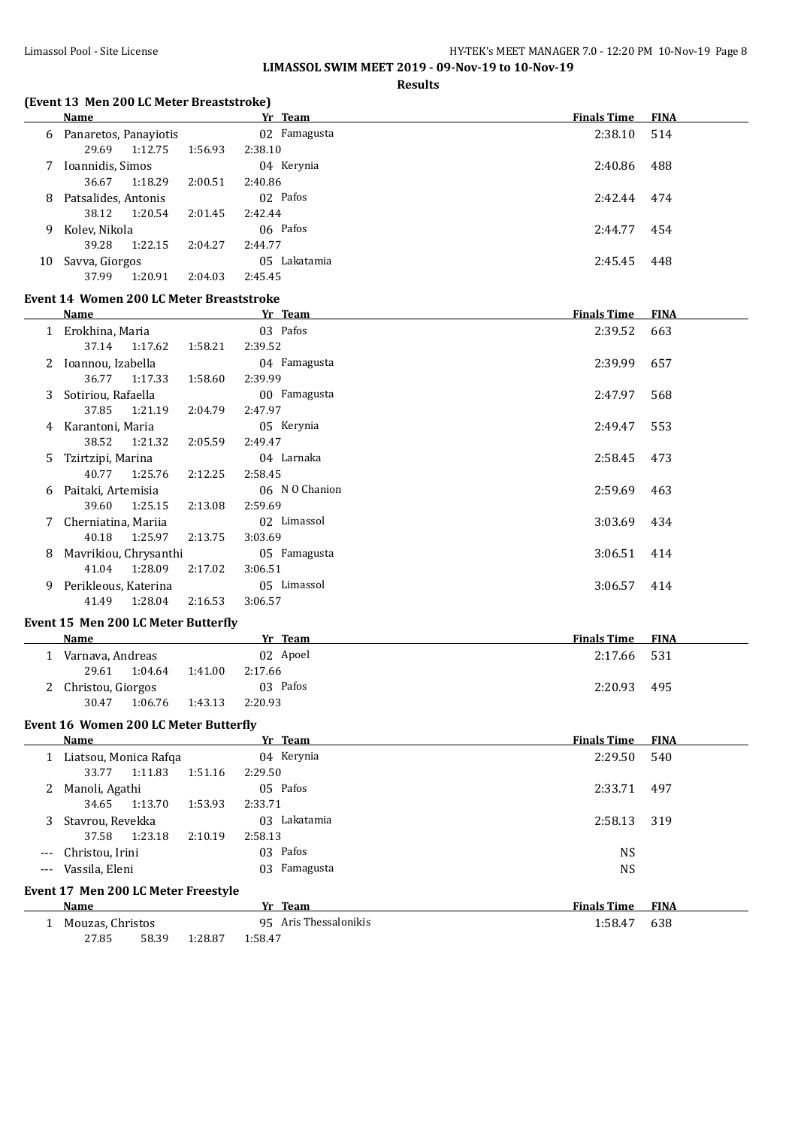# Limassol Pool - Site License **HY-TEK's MEET MANAGER 7.0 - 12:20 PM 10-Nov-19** Page 8

**LIMASSOL SWIM MEET 2019 - 09-Nov-19 to 10-Nov-19**

#### **Results**

# **(Event 13 Men 200 LC Meter Breaststroke)**

|    | <b>Name</b>           |         |         | Yr Team         | <b>Finals Time</b> | <b>FINA</b> |
|----|-----------------------|---------|---------|-----------------|--------------------|-------------|
| 6  | Panaretos, Panayiotis |         |         | 02 Famagusta    | 2:38.10            | 514         |
|    | 29.69                 | 1:12.75 | 1:56.93 | 2:38.10         |                    |             |
|    | Ioannidis, Simos      |         |         | 04 Kerynia      | 2:40.86            | 488         |
|    | 36.67                 | 1:18.29 | 2:00.51 | 2:40.86         |                    |             |
| 8  | Patsalides, Antonis   |         |         | 02 Pafos        | 2:42.44            | 474         |
|    | 38.12                 | 1:20.54 | 2:01.45 | 2:42.44         |                    |             |
| 9  | Kolev, Nikola         |         |         | 06 Pafos        | 2:44.77            | 454         |
|    | 39.28                 | 1:22.15 | 2:04.27 | 2:44.77         |                    |             |
| 10 | Savva, Giorgos        |         |         | Lakatamia<br>05 | 2:45.45            | 448         |
|    | 37.99                 | 1:20.91 | 2:04.03 | 2:45.45         |                    |             |

# **Event 14 Women 200 LC Meter Breaststroke**

|    | Name                  |         | Yr Team        | <b>Finals Time</b> | <b>FINA</b> |
|----|-----------------------|---------|----------------|--------------------|-------------|
| 1  | Erokhina, Maria       |         | 03 Pafos       | 2:39.52            | 663         |
|    | 37.14 1:17.62         | 1:58.21 | 2:39.52        |                    |             |
| 2  | Ioannou, Izabella     |         | 04 Famagusta   | 2:39.99            | 657         |
|    | 36.77 1:17.33         | 1:58.60 | 2:39.99        |                    |             |
| 3. | Sotiriou, Rafaella    |         | 00 Famagusta   | 2:47.97            | 568         |
|    | 1:21.19<br>37.85      | 2:04.79 | 2:47.97        |                    |             |
| 4  | Karantoni, Maria      |         | 05 Kerynia     | 2:49.47            | 553         |
|    | 38.52 1:21.32         | 2:05.59 | 2:49.47        |                    |             |
| 5. | Tzirtzipi, Marina     |         | 04 Larnaka     | 2:58.45            | 473         |
|    | 40.77 1:25.76         | 2:12.25 | 2:58.45        |                    |             |
| 6  | Paitaki, Artemisia    |         | 06 N O Chanion | 2:59.69            | 463         |
|    | 1:25.15<br>39.60      | 2:13.08 | 2:59.69        |                    |             |
|    | Cherniatina, Mariia   |         | 02 Limassol    | 3:03.69            | 434         |
|    | 1:25.97<br>40.18      | 2:13.75 | 3:03.69        |                    |             |
| 8  | Mavrikiou, Chrysanthi |         | 05 Famagusta   | 3:06.51            | 414         |
|    | 41.04<br>1:28.09      | 2:17.02 | 3:06.51        |                    |             |
| 9  | Perikleous, Katerina  |         | 05 Limassol    | 3:06.57            | 414         |
|    | 41.49<br>1:28.04      | 2:16.53 | 3:06.57        |                    |             |

#### **Event 15 Men 200 LC Meter Butterfly**

| Name                |         |         | Team<br>Уr | <b>Finals Time FINA</b> |     |
|---------------------|---------|---------|------------|-------------------------|-----|
| Varnava, Andreas    |         |         | 02 Apoel   | 2:17.66 531             |     |
| 29.61               | 1:04.64 | 1:41.00 | 2:17.66    |                         |     |
| 2 Christou, Giorgos |         |         | 03 Pafos   | 2:20.93                 | 495 |
| 30.47               | 1:06.76 | 1:43.13 | 2:20.93    |                         |     |

#### **Event 16 Women 200 LC Meter Butterfly**

|          | Name                                |         | Yr Team               | <b>Finals Time</b> | <b>FINA</b> |  |  |
|----------|-------------------------------------|---------|-----------------------|--------------------|-------------|--|--|
|          | Liatsou, Monica Rafga               |         | 04 Kerynia            | 2:29.50            | 540         |  |  |
|          | 1:11.83<br>33.77                    | 1:51.16 | 2:29.50               |                    |             |  |  |
| 2        | Manoli, Agathi                      |         | 05 Pafos              | 2:33.71            | 497         |  |  |
|          | 1:13.70<br>34.65                    | 1:53.93 | 2:33.71               |                    |             |  |  |
| 3        | Stavrou, Revekka                    |         | Lakatamia<br>03.      | 2:58.13            | 319         |  |  |
|          | 1:23.18<br>37.58                    | 2:10.19 | 2:58.13               |                    |             |  |  |
| $---$    | Christou, Irini                     |         | 03 Pafos              | NS.                |             |  |  |
| $\cdots$ | Vassila, Eleni                      |         | Famagusta<br>03       | <b>NS</b>          |             |  |  |
|          | Event 17 Men 200 LC Meter Freestyle |         |                       |                    |             |  |  |
|          | <b>Name</b>                         |         | Yr Team               | <b>Finals Time</b> | <b>FINA</b> |  |  |
|          | Mouzas, Christos                    |         | 95 Aris Thessalonikis | 1:58.47            | 638         |  |  |

27.85 58.39 1:28.87 1:58.47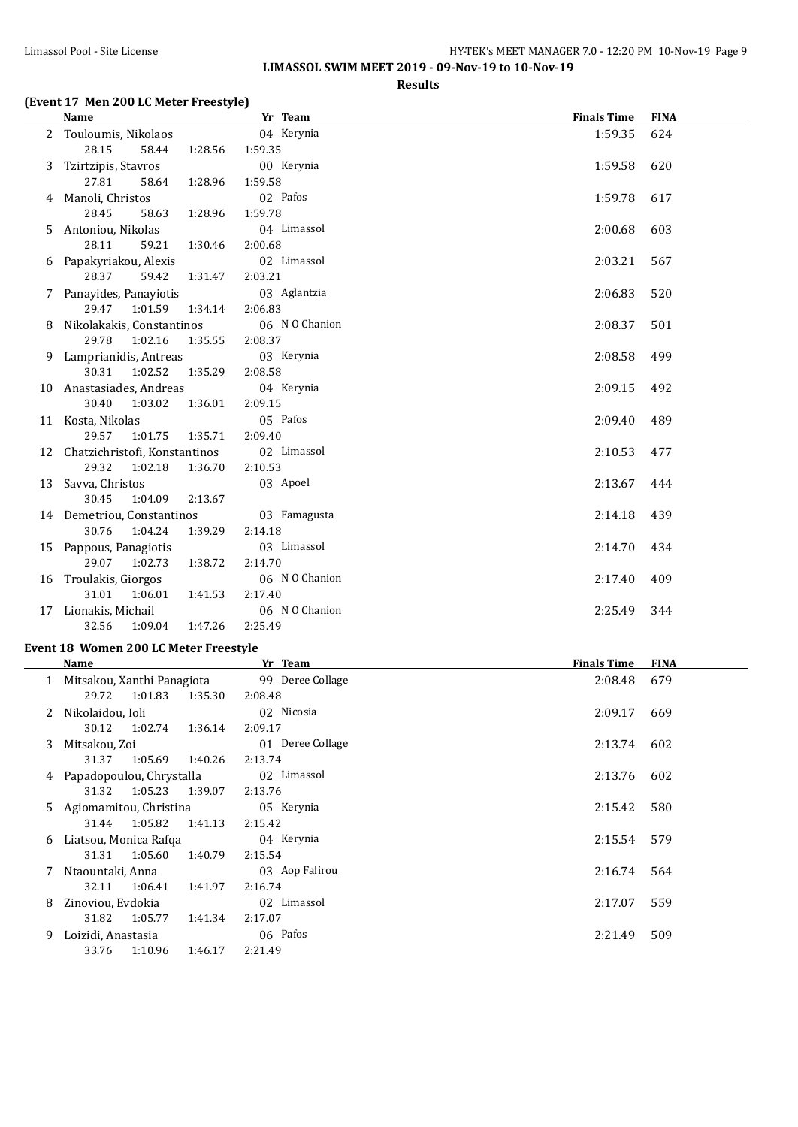## Limassol Pool - Site License **HY-TEK's MEET MANAGER 7.0 - 12:20 PM 10-Nov-19 Page 9 LIMASSOL SWIM MEET 2019 - 09-Nov-19 to 10-Nov-19**

**Results**

#### **(Event 17 Men 200 LC Meter Freestyle)**

|    | Name                             | Yr Team        | <b>Finals Time</b> | <b>FINA</b> |
|----|----------------------------------|----------------|--------------------|-------------|
| 2  | Touloumis, Nikolaos              | 04 Kerynia     | 1:59.35            | 624         |
|    | 28.15<br>58.44<br>1:28.56        | 1:59.35        |                    |             |
| 3. | Tzirtzipis, Stavros              | 00 Kerynia     | 1:59.58            | 620         |
|    | 27.81<br>58.64<br>1:28.96        | 1:59.58        |                    |             |
|    | Manoli, Christos                 | 02 Pafos       | 1:59.78            | 617         |
|    | 28.45<br>1:28.96<br>58.63        | 1:59.78        |                    |             |
| 5. | Antoniou, Nikolas                | 04 Limassol    | 2:00.68            | 603         |
|    | 28.11<br>59.21<br>1:30.46        | 2:00.68        |                    |             |
| 6  | Papakyriakou, Alexis             | 02 Limassol    | 2:03.21            | 567         |
|    | 28.37<br>59.42<br>1:31.47        | 2:03.21        |                    |             |
|    | Panayides, Panayiotis            | 03 Aglantzia   | 2:06.83            | 520         |
|    | 29.47<br>1:01.59<br>1:34.14      | 2:06.83        |                    |             |
| 8  | Nikolakakis, Constantinos        | 06 N O Chanion | 2:08.37            | 501         |
|    | 29.78 1:02.16<br>1:35.55         | 2:08.37        |                    |             |
| 9  | Lamprianidis, Antreas            | 03 Kerynia     | 2:08.58            | 499         |
|    | 30.31<br>1:02.52<br>1:35.29      | 2:08.58        |                    |             |
|    | 10 Anastasiades, Andreas         | 04 Kerynia     | 2:09.15            | 492         |
|    | 30.40<br>1:03.02<br>1:36.01      | 2:09.15        |                    |             |
|    | 11 Kosta, Nikolas                | 05 Pafos       | 2:09.40            | 489         |
|    | 29.57<br>1:01.75<br>1:35.71      | 2:09.40        |                    |             |
|    | 12 Chatzichristofi, Konstantinos | 02 Limassol    | 2:10.53            | 477         |
|    | 29.32<br>1:02.18<br>1:36.70      | 2:10.53        |                    |             |
|    | 13 Savva, Christos               | 03 Apoel       | 2:13.67            | 444         |
|    | 30.45<br>1:04.09<br>2:13.67      |                |                    |             |
|    | 14 Demetriou, Constantinos       | 03 Famagusta   | 2:14.18            | 439         |
|    | 30.76<br>1:04.24<br>1:39.29      | 2:14.18        |                    |             |
|    | 15 Pappous, Panagiotis           | 03 Limassol    | 2:14.70            | 434         |
|    | 29.07 1:02.73<br>1:38.72         | 2:14.70        |                    |             |
|    | 16 Troulakis, Giorgos            | 06 N O Chanion | 2:17.40            | 409         |
|    | 31.01<br>1:06.01<br>1:41.53      | 2:17.40        |                    |             |
| 17 | Lionakis, Michail                | 06 N O Chanion | 2:25.49            | 344         |
|    | 32.56<br>1:47.26<br>1:09.04      | 2:25.49        |                    |             |

### **Event 18 Women 200 LC Meter Freestyle**

|    | Name                         |         | Yr Team          | <b>Finals Time</b> | <b>FINA</b> |
|----|------------------------------|---------|------------------|--------------------|-------------|
|    | 1 Mitsakou, Xanthi Panagiota |         | 99 Deree Collage | 2:08.48            | 679         |
|    | 29.72<br>1:01.83             | 1:35.30 | 2:08.48          |                    |             |
| 2  | Nikolaidou, Ioli             |         | 02 Nicosia       | 2:09.17            | 669         |
|    | 30.12 1:02.74                | 1:36.14 | 2:09.17          |                    |             |
| 3. | Mitsakou, Zoi                |         | 01 Deree Collage | 2:13.74            | 602         |
|    | 1:05.69<br>31.37             | 1:40.26 | 2:13.74          |                    |             |
| 4  | Papadopoulou, Chrystalla     |         | 02 Limassol      | 2:13.76            | 602         |
|    | 1:05.23<br>31.32             | 1:39.07 | 2:13.76          |                    |             |
|    | 5 Agiomamitou, Christina     |         | 05 Kerynia       | 2:15.42            | 580         |
|    | 31.44 1:05.82                | 1:41.13 | 2:15.42          |                    |             |
| 6  | Liatsou, Monica Rafqa        |         | 04 Kerynia       | 2:15.54            | 579         |
|    | 1:05.60<br>31.31             | 1:40.79 | 2:15.54          |                    |             |
|    | Ntaountaki, Anna             |         | 03 Aop Falirou   | 2:16.74            | 564         |
|    | 1:06.41<br>32.11             | 1:41.97 | 2:16.74          |                    |             |
| 8  | Zinoviou, Evdokia            |         | 02 Limassol      | 2:17.07            | 559         |
|    | 31.82<br>1:05.77             | 1:41.34 | 2:17.07          |                    |             |
| 9. | Loizidi, Anastasia           |         | 06 Pafos         | 2:21.49            | 509         |
|    | 1:10.96<br>33.76             | 1:46.17 | 2:21.49          |                    |             |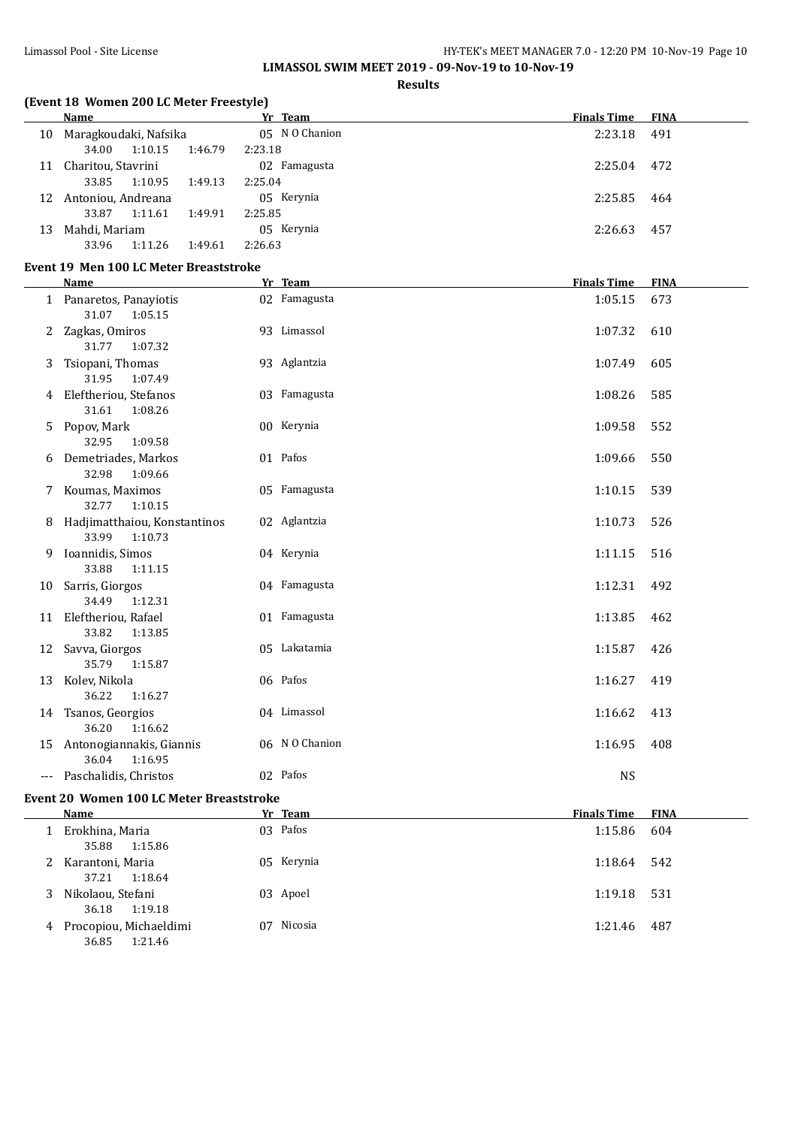**LIMASSOL SWIM MEET 2019 - 09-Nov-19 to 10-Nov-19**

### **Results**

# **(Event 18 Women 200 LC Meter Freestyle)**

|    | <b>Name</b>           |         | Yr Team        | <b>Finals Time</b> | <b>FINA</b> |
|----|-----------------------|---------|----------------|--------------------|-------------|
| 10 | Maragkoudaki, Nafsika |         | 05 N O Chanion | 2:23.18            | 491         |
|    | 1:10.15<br>34.00      | 1:46.79 | 2:23.18        |                    |             |
| 11 | Charitou, Stavrini    |         | 02 Famagusta   | 2:25.04            | 472         |
|    | 1:10.95<br>33.85      | 1:49.13 | 2:25.04        |                    |             |
| 12 | Antoniou, Andreana    |         | 05 Kerynia     | 2:25.85            | 464         |
|    | 33.87<br>1:11.61      | 1:49.91 | 2:25.85        |                    |             |
| 13 | Mahdi, Mariam         |         | 05 Kerynia     | 2:26.63            | 457         |
|    | 33.96<br>1:11.26      | 1:49.61 | 2:26.63        |                    |             |

## **Event 19 Men 100 LC Meter Breaststroke**

|    | <b>Name</b>                                      | Yr Team        | <b>Finals Time</b> | <b>FINA</b> |
|----|--------------------------------------------------|----------------|--------------------|-------------|
|    | 1 Panaretos, Panayiotis<br>31.07<br>1:05.15      | 02 Famagusta   | 1:05.15            | 673         |
| 2  | Zagkas, Omiros<br>31.77<br>1:07.32               | 93 Limassol    | 1:07.32            | 610         |
| 3  | Tsiopani, Thomas<br>31.95<br>1:07.49             | 93 Aglantzia   | 1:07.49            | 605         |
|    | 4 Eleftheriou, Stefanos<br>31.61<br>1:08.26      | 03 Famagusta   | 1:08.26            | 585         |
| 5  | Popov, Mark<br>32.95<br>1:09.58                  | 00 Kerynia     | 1:09.58            | 552         |
|    | Demetriades, Markos<br>32.98<br>1:09.66          | 01 Pafos       | 1:09.66            | 550         |
| 7  | Koumas, Maximos<br>32.77<br>1:10.15              | 05 Famagusta   | 1:10.15            | 539         |
| 8. | Hadjimatthaiou, Konstantinos<br>33.99<br>1:10.73 | 02 Aglantzia   | 1:10.73            | 526         |
| 9  | Ioannidis, Simos<br>33.88<br>1:11.15             | 04 Kerynia     | 1:11.15            | 516         |
| 10 | Sarris, Giorgos<br>34.49<br>1:12.31              | 04 Famagusta   | 1:12.31            | 492         |
|    | 11 Eleftheriou, Rafael<br>33.82<br>1:13.85       | 01 Famagusta   | 1:13.85            | 462         |
|    | 12 Savva, Giorgos<br>35.79<br>1:15.87            | 05 Lakatamia   | 1:15.87            | 426         |
| 13 | Kolev, Nikola<br>36.22<br>1:16.27                | 06 Pafos       | 1:16.27            | 419         |
|    | 14 Tsanos, Georgios<br>36.20<br>1:16.62          | 04 Limassol    | 1:16.62            | 413         |
| 15 | Antonogiannakis, Giannis<br>36.04<br>1:16.95     | 06 N O Chanion | 1:16.95            | 408         |
|    | Paschalidis, Christos                            | 02 Pafos       | <b>NS</b>          |             |

## **Event 20 Women 100 LC Meter Breaststroke**

l,

|   | Name                                       | Yr Team    | <b>Finals Time</b> | <b>FINA</b> |
|---|--------------------------------------------|------------|--------------------|-------------|
|   | Erokhina, Maria<br>35.88<br>1:15.86        | 03 Pafos   | 1:15.86            | 604         |
| 2 | Karantoni, Maria<br>37.21<br>1:18.64       | 05 Kerynia | 1:18.64            | 542         |
| 3 | Nikolaou, Stefani<br>36.18<br>1:19.18      | 03 Apoel   | 1:19.18            | 531         |
| 4 | Procopiou, Michaeldimi<br>36.85<br>1:21.46 | 07 Nicosia | 1:21.46            | 487         |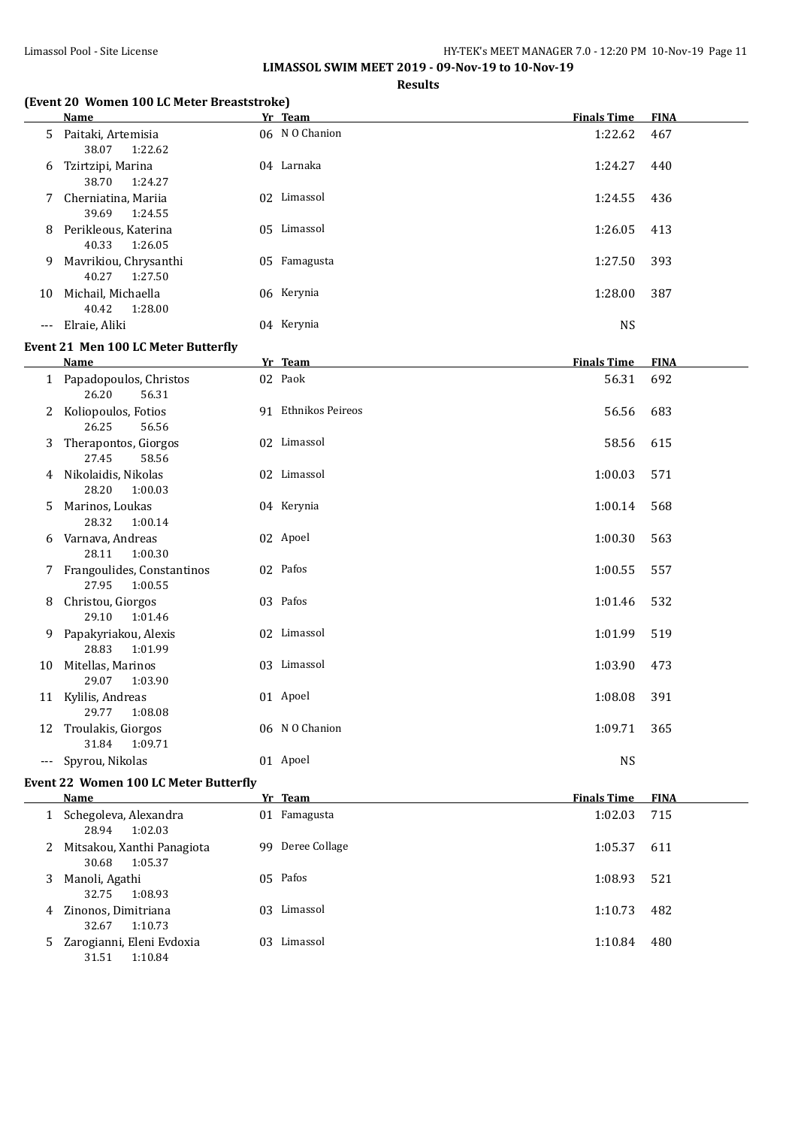**LIMASSOL SWIM MEET 2019 - 09-Nov-19 to 10-Nov-19**

**Results**

# **(Event 20 Women 100 LC Meter Breaststroke)**

|                      | (Event zu wurden 100 EC meter breaststrüße)<br><u>Name</u> | Yr Team             | <b>Finals Time</b> | <b>FINA</b> |
|----------------------|------------------------------------------------------------|---------------------|--------------------|-------------|
|                      | 5 Paitaki, Artemisia<br>38.07<br>1:22.62                   | 06 N O Chanion      | 1:22.62            | 467         |
| 6                    | Tzirtzipi, Marina<br>38.70<br>1:24.27                      | 04 Larnaka          | 1:24.27            | 440         |
| 7                    | Cherniatina, Mariia<br>39.69<br>1:24.55                    | 02 Limassol         | 1:24.55            | 436         |
|                      | 8 Perikleous, Katerina<br>40.33<br>1:26.05                 | 05 Limassol         | 1:26.05            | 413         |
| 9.                   | Mavrikiou, Chrysanthi<br>40.27<br>1:27.50                  | 05 Famagusta        | 1:27.50            | 393         |
|                      | 10 Michail, Michaella<br>40.42<br>1:28.00                  | 06 Kerynia          | 1:28.00            | 387         |
| $\scriptstyle\cdots$ | Elraie, Aliki                                              | 04 Kerynia          | <b>NS</b>          |             |
|                      | Event 21 Men 100 LC Meter Butterfly                        |                     |                    |             |
|                      | Name                                                       | Yr Team             | <b>Finals Time</b> | <b>FINA</b> |
|                      | 1 Papadopoulos, Christos<br>26.20<br>56.31                 | 02 Paok             | 56.31              | 692         |
|                      | 2 Koliopoulos, Fotios<br>26.25<br>56.56                    | 91 Ethnikos Peireos | 56.56              | 683         |
| 3                    | Therapontos, Giorgos<br>27.45<br>58.56                     | 02 Limassol         | 58.56              | 615         |
|                      | 4 Nikolaidis, Nikolas<br>28.20<br>1:00.03                  | 02 Limassol         | 1:00.03            | 571         |
| 5.                   | Marinos, Loukas<br>28.32<br>1:00.14                        | 04 Kerynia          | 1:00.14            | 568         |
| 6                    | Varnava, Andreas<br>28.11<br>1:00.30                       | 02 Apoel            | 1:00.30            | 563         |
|                      | 7 Frangoulides, Constantinos<br>27.95<br>1:00.55           | 02 Pafos            | 1:00.55            | 557         |
| 8                    | Christou, Giorgos<br>29.10<br>1:01.46                      | 03 Pafos            | 1:01.46            | 532         |
|                      | 9 Papakyriakou, Alexis<br>28.83<br>1:01.99                 | 02 Limassol         | 1:01.99            | 519         |
|                      | 10 Mitellas, Marinos<br>29.07<br>1:03.90                   | 03 Limassol         | 1:03.90            | 473         |
|                      | 11 Kylilis, Andreas<br>29.77<br>1:08.08                    | 01 Apoel            | 1:08.08            | 391         |
|                      | 12 Troulakis, Giorgos<br>31.84<br>1:09.71                  | 06 N O Chanion      | 1:09.71            | 365         |
|                      | --- Spyrou, Nikolas                                        | 01 Apoel            | <b>NS</b>          |             |

# **Event 22 Women 100 LC Meter Butterfly**

|   | Name                                             |     | Yr Team       | <b>Finals Time</b> | <b>FINA</b> |
|---|--------------------------------------------------|-----|---------------|--------------------|-------------|
|   | Schegoleva, Alexandra<br>28.94<br>1:02.03        |     | 01 Famagusta  | 1:02.03            | 715         |
|   | 2 Mitsakou, Xanthi Panagiota<br>1:05.37<br>30.68 | 99. | Deree Collage | 1:05.37            | 611         |
| 3 | Manoli, Agathi<br>32.75<br>1:08.93               |     | 05 Pafos      | 1:08.93            | 521         |
| 4 | Zinonos, Dimitriana<br>1:10.73<br>32.67          | 03. | Limassol      | 1:10.73            | 482         |
|   | 5 Zarogianni, Eleni Evdoxia<br>1:10.84<br>31.51  | 03. | Limassol      | 1:10.84            | 480         |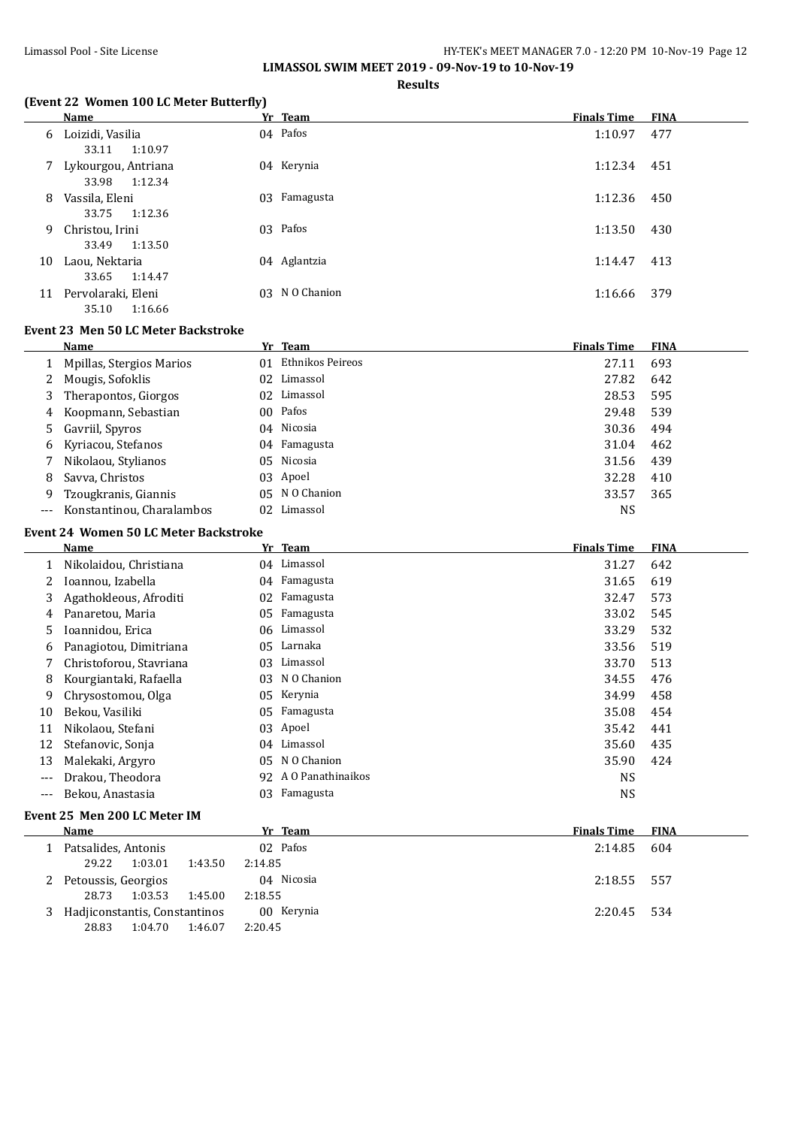**LIMASSOL SWIM MEET 2019 - 09-Nov-19 to 10-Nov-19**

**Results**

### **(Event 22 Women 100 LC Meter Butterfly)**

|    | Name                                    | Yr Team        | <b>Finals Time</b> | <b>FINA</b> |
|----|-----------------------------------------|----------------|--------------------|-------------|
| 6  | Loizidi, Vasilia<br>1:10.97<br>33.11    | 04 Pafos       | 1:10.97            | 477         |
| 7  | Lykourgou, Antriana<br>33.98<br>1:12.34 | 04 Kerynia     | 1:12.34            | 451         |
| 8  | Vassila, Eleni<br>1:12.36<br>33.75      | 03 Famagusta   | 1:12.36            | 450         |
| 9  | Christou, Irini<br>1:13.50<br>33.49     | 03 Pafos       | 1:13.50            | 430         |
| 10 | Laou, Nektaria<br>33.65<br>1:14.47      | 04 Aglantzia   | 1:14.47            | 413         |
| 11 | Pervolaraki, Eleni<br>1:16.66<br>35.10  | 03 N O Chanion | 1:16.66            | 379         |

#### **Event 23 Men 50 LC Meter Backstroke**

|       | Name                      |    | Yr Team          | <b>Finals Time</b> | <b>FINA</b> |
|-------|---------------------------|----|------------------|--------------------|-------------|
|       | Mpillas, Stergios Marios  | 01 | Ethnikos Peireos | 27.11              | 693         |
|       | Mougis, Sofoklis          |    | 02 Limassol      | 27.82              | 642         |
|       | Therapontos, Giorgos      |    | 02 Limassol      | 28.53              | 595         |
| 4     | Koopmann, Sebastian       |    | 00 Pafos         | 29.48              | 539         |
|       | Gavriil, Spyros           |    | 04 Nicosia       | 30.36              | 494         |
| 6     | Kyriacou, Stefanos        |    | 04 Famagusta     | 31.04              | 462         |
|       | Nikolaou, Stylianos       |    | 05 Nicosia       | 31.56              | 439         |
| 8.    | Savva, Christos           |    | 03 Apoel         | 32.28              | 410         |
|       | Tzougkranis, Giannis      |    | 05 N O Chanion   | 33.57              | 365         |
| $---$ | Konstantinou, Charalambos | 02 | Limassol         | NS                 |             |

#### **Event 24 Women 50 LC Meter Backstroke**

|     | Name                         |     | Yr Team           | <b>Finals Time</b> | <b>FINA</b> |  |  |
|-----|------------------------------|-----|-------------------|--------------------|-------------|--|--|
|     | Nikolaidou, Christiana       |     | 04 Limassol       | 31.27              | 642         |  |  |
|     | Ioannou, Izabella            | 04  | Famagusta         | 31.65              | 619         |  |  |
| 3   | Agathokleous, Afroditi       | 02. | Famagusta         | 32.47              | 573         |  |  |
| 4   | Panaretou, Maria             | 05. | Famagusta         | 33.02              | 545         |  |  |
| 5   | Ioannidou, Erica             |     | 06 Limassol       | 33.29              | 532         |  |  |
| 6   | Panagiotou, Dimitriana       | 05. | Larnaka           | 33.56              | 519         |  |  |
|     | Christoforou, Stavriana      | 03. | Limassol          | 33.70              | 513         |  |  |
| 8   | Kourgiantaki, Rafaella       | 03  | N O Chanion       | 34.55              | 476         |  |  |
| 9   | Chrysostomou, Olga           | 05  | Kerynia           | 34.99              | 458         |  |  |
| 10  | Bekou, Vasiliki              | 05  | Famagusta         | 35.08              | 454         |  |  |
| 11  | Nikolaou, Stefani            | 03  | Apoel             | 35.42              | 441         |  |  |
| 12  | Stefanovic, Sonja            |     | 04 Limassol       | 35.60              | 435         |  |  |
| 13  | Malekaki, Argyro             | 05. | N O Chanion       | 35.90              | 424         |  |  |
| --- | Drakou, Theodora             | 92  | A O Panathinaikos | <b>NS</b>          |             |  |  |
| --- | Bekou, Anastasia             | 03  | Famagusta         | <b>NS</b>          |             |  |  |
|     | Event 25 Men 200 LC Meter IM |     |                   |                    |             |  |  |

## **Name Yr Team Finals Time FINA** 1 Patsalides, Antonis 02 Pafos 2:14.85 604 29.22 1:03.01 1:43.50 2:14.85 2 Petoussis, Georgios 04 Nicosia 2:18.55 557 28.73 1:03.53 1:45.00 2:18.55 3 Hadjiconstantis, Constantinos 00 Kerynia 2:20.45 534 28.83 1:04.70 1:46.07 2:20.45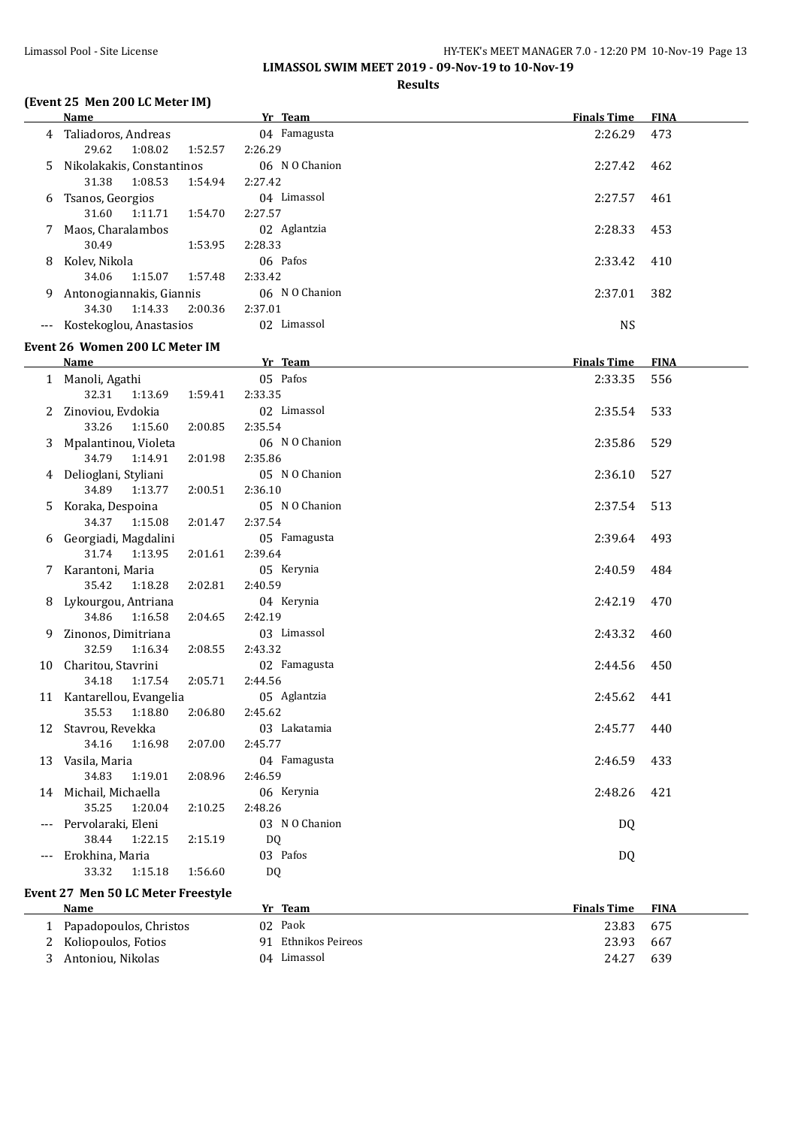**LIMASSOL SWIM MEET 2019 - 09-Nov-19 to 10-Nov-19**

# **(Event 25 Men 200 LC Meter IM)**

# **Results**

|    | <b>Name</b>                                          | Yr Team                 | <b>Finals Time</b> | <b>FINA</b> |
|----|------------------------------------------------------|-------------------------|--------------------|-------------|
| 4  | Taliadoros, Andreas                                  | 04 Famagusta            | 2:26.29            | 473         |
|    | 29.62<br>1:08.02<br>1:52.57                          | 2:26.29                 |                    |             |
| 5  | Nikolakakis, Constantinos                            | 06 NO Chanion           | 2:27.42            | 462         |
|    | 31.38<br>1:08.53<br>1:54.94                          | 2:27.42                 |                    |             |
| 6  | Tsanos, Georgios                                     | 04 Limassol             | 2:27.57            | 461         |
|    | 31.60<br>1:11.71<br>1:54.70                          | 2:27.57                 |                    |             |
|    | Maos, Charalambos                                    | 02 Aglantzia            | 2:28.33            | 453         |
|    | 30.49<br>1:53.95                                     | 2:28.33                 |                    |             |
| 8  | Kolev, Nikola                                        | 06 Pafos                | 2:33.42            | 410         |
|    | 34.06<br>1:15.07<br>1:57.48                          | 2:33.42                 |                    |             |
| 9. | Antonogiannakis, Giannis                             | 06 N O Chanion          | 2:37.01            | 382         |
|    | 34.30<br>1:14.33<br>2:00.36                          | 2:37.01                 |                    |             |
|    | --- Kostekoglou, Anastasios                          | 02 Limassol             | <b>NS</b>          |             |
|    | Event 26 Women 200 LC Meter IM                       |                         |                    |             |
|    | Name                                                 | Yr Team                 | <b>Finals Time</b> | <b>FINA</b> |
|    | 1 Manoli, Agathi                                     | 05 Pafos                | 2:33.35            | 556         |
|    | 32.31<br>1:13.69<br>1:59.41                          | 2:33.35                 |                    |             |
|    | 2 Zinoviou, Evdokia                                  | 02 Limassol             | 2:35.54            | 533         |
|    | 33.26<br>1:15.60<br>2:00.85                          | 2:35.54                 |                    |             |
|    | Mpalantinou, Violeta                                 | 06 N O Chanion          | 2:35.86            | 529         |
|    | 34.79<br>1:14.91<br>2:01.98                          | 2:35.86                 |                    |             |
|    | 4 Delioglani, Styliani                               | 05 NO Chanion           | 2:36.10            | 527         |
|    | 34.89<br>1:13.77<br>2:00.51                          | 2:36.10                 |                    |             |
| 5  | Koraka, Despoina                                     | 05 NO Chanion           | 2:37.54            | 513         |
|    | 34.37<br>1:15.08<br>2:01.47                          | 2:37.54                 |                    |             |
| 6  | Georgiadi, Magdalini                                 | 05 Famagusta            | 2:39.64            | 493         |
|    | 31.74<br>1:13.95<br>2:01.61                          | 2:39.64                 |                    |             |
|    | 7 Karantoni, Maria                                   | 05 Kerynia              | 2:40.59            | 484         |
|    | 35.42<br>1:18.28<br>2:02.81                          | 2:40.59                 |                    |             |
| 8  | Lykourgou, Antriana                                  | 04 Kerynia              | 2:42.19            | 470         |
|    | 34.86<br>1:16.58<br>2:04.65                          | 2:42.19                 |                    |             |
| 9  | Zinonos, Dimitriana                                  | 03 Limassol             | 2:43.32            | 460         |
|    | 32.59<br>1:16.34<br>2:08.55                          | 2:43.32                 |                    |             |
|    | 10 Charitou, Stavrini<br>34.18<br>1:17.54<br>2:05.71 | 02 Famagusta<br>2:44.56 | 2:44.56            | 450         |
|    | 11 Kantarellou, Evangelia                            | 05 Aglantzia            | 2:45.62            | 441         |
|    | 35.53  1:18.80  2:06.80  2:45.62                     |                         |                    |             |
|    | 12 Stavrou, Revekka                                  | 03 Lakatamia            | 2:45.77            | 440         |
|    | 34.16<br>1:16.98<br>2:07.00                          | 2:45.77                 |                    |             |
|    | 13 Vasila, Maria                                     | 04 Famagusta            | 2:46.59            | 433         |
|    | 34.83<br>1:19.01<br>2:08.96                          | 2:46.59                 |                    |             |
|    | 14 Michail, Michaella                                | 06 Kerynia              | 2:48.26            | 421         |
|    | 35.25<br>1:20.04<br>2:10.25                          | 2:48.26                 |                    |             |
|    | Pervolaraki, Eleni                                   | 03 NO Chanion           | DQ                 |             |
|    | 38.44<br>1:22.15<br>2:15.19                          | DQ                      |                    |             |
|    | Erokhina, Maria                                      | 03 Pafos                | DQ                 |             |
|    | 1:56.60<br>33.32<br>1:15.18                          | DQ                      |                    |             |
|    | Event 27 Men 50 LC Meter Freestyle                   |                         |                    |             |
|    |                                                      |                         |                    |             |

| Name                     |    | Yr Team             | <b>Finals Time</b> | <b>FINA</b> |
|--------------------------|----|---------------------|--------------------|-------------|
| 1 Papadopoulos, Christos |    | 02 Paok             | 23.83              | 675         |
| 2 Koliopoulos, Fotios    |    | 91 Ethnikos Peireos | 23.93              | 667         |
| 3 Antoniou, Nikolas      | 04 | Limassol            | 24.27              | 639         |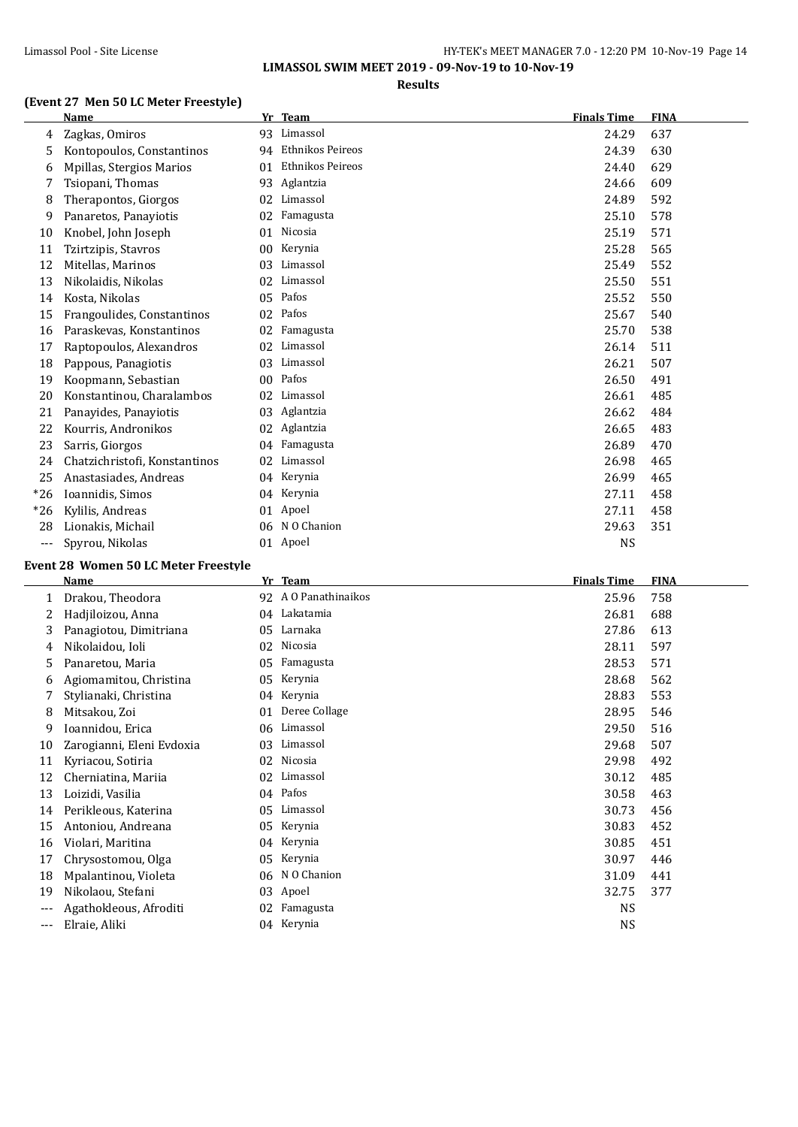**LIMASSOL SWIM MEET 2019 - 09-Nov-19 to 10-Nov-19**

# **(Event 27 Men 50 LC Meter Freestyle)**

# **Results**

|       | <b>Name</b>                   | Yr              | <b>Team</b>      | <b>Finals Time</b> | <b>FINA</b> |
|-------|-------------------------------|-----------------|------------------|--------------------|-------------|
| 4     | Zagkas, Omiros                | 93              | Limassol         | 24.29              | 637         |
| 5     | Kontopoulos, Constantinos     | 94              | Ethnikos Peireos | 24.39              | 630         |
| 6     | Mpillas, Stergios Marios      | 01              | Ethnikos Peireos | 24.40              | 629         |
| 7     | Tsiopani, Thomas              | 93              | Aglantzia        | 24.66              | 609         |
| 8     | Therapontos, Giorgos          | 02              | Limassol         | 24.89              | 592         |
| 9     | Panaretos, Panayiotis         | 02              | Famagusta        | 25.10              | 578         |
| 10    | Knobel, John Joseph           | 01              | Nicosia          | 25.19              | 571         |
| 11    | Tzirtzipis, Stavros           | 00 <sup>2</sup> | Kerynia          | 25.28              | 565         |
| 12    | Mitellas, Marinos             | 03              | Limassol         | 25.49              | 552         |
| 13    | Nikolaidis, Nikolas           | 02              | Limassol         | 25.50              | 551         |
| 14    | Kosta, Nikolas                | 05              | Pafos            | 25.52              | 550         |
| 15    | Frangoulides, Constantinos    | 02              | Pafos            | 25.67              | 540         |
| 16    | Paraskevas, Konstantinos      | 02              | Famagusta        | 25.70              | 538         |
| 17    | Raptopoulos, Alexandros       | 02              | Limassol         | 26.14              | 511         |
| 18    | Pappous, Panagiotis           | 03              | Limassol         | 26.21              | 507         |
| 19    | Koopmann, Sebastian           | 00              | Pafos            | 26.50              | 491         |
| 20    | Konstantinou, Charalambos     | 02              | Limassol         | 26.61              | 485         |
| 21    | Panayides, Panayiotis         | 03              | Aglantzia        | 26.62              | 484         |
| 22    | Kourris, Andronikos           | 02              | Aglantzia        | 26.65              | 483         |
| 23    | Sarris, Giorgos               | 04              | Famagusta        | 26.89              | 470         |
| 24    | Chatzichristofi, Konstantinos | 02              | Limassol         | 26.98              | 465         |
| 25    | Anastasiades, Andreas         | 04              | Kerynia          | 26.99              | 465         |
| $*26$ | Ioannidis, Simos              | 04              | Kerynia          | 27.11              | 458         |
| $*26$ | Kylilis, Andreas              | 01              | Apoel            | 27.11              | 458         |
| 28    | Lionakis, Michail             | 06              | N O Chanion      | 29.63              | 351         |
| ---   | Spyrou, Nikolas               |                 | 01 Apoel         | <b>NS</b>          |             |

#### **Event 28 Women 50 LC Meter Freestyle**

|     | <b>Name</b>               | Yr | <b>Team</b>          | <b>Finals Time</b> | <b>FINA</b> |
|-----|---------------------------|----|----------------------|--------------------|-------------|
| 1   | Drakou, Theodora          |    | 92 A O Panathinaikos | 25.96              | 758         |
|     | Hadjiloizou, Anna         | 04 | Lakatamia            | 26.81              | 688         |
| 3   | Panagiotou, Dimitriana    | 05 | Larnaka              | 27.86              | 613         |
| 4   | Nikolaidou, Ioli          | 02 | Nicosia              | 28.11              | 597         |
| 5   | Panaretou, Maria          | 05 | Famagusta            | 28.53              | 571         |
| 6   | Agiomamitou, Christina    | 05 | Kerynia              | 28.68              | 562         |
|     | Stylianaki, Christina     | 04 | Kerynia              | 28.83              | 553         |
| 8   | Mitsakou, Zoi             | 01 | Deree Collage        | 28.95              | 546         |
| 9   | Ioannidou, Erica          | 06 | Limassol             | 29.50              | 516         |
| 10  | Zarogianni, Eleni Evdoxia | 03 | Limassol             | 29.68              | 507         |
| 11  | Kyriacou, Sotiria         | 02 | Nicosia              | 29.98              | 492         |
| 12  | Cherniatina, Mariia       | 02 | Limassol             | 30.12              | 485         |
| 13  | Loizidi, Vasilia          | 04 | Pafos                | 30.58              | 463         |
| 14  | Perikleous, Katerina      | 05 | Limassol             | 30.73              | 456         |
| 15  | Antoniou, Andreana        | 05 | Kerynia              | 30.83              | 452         |
| 16  | Violari, Maritina         | 04 | Kerynia              | 30.85              | 451         |
| 17  | Chrysostomou, Olga        | 05 | Kerynia              | 30.97              | 446         |
| 18  | Mpalantinou, Violeta      | 06 | N O Chanion          | 31.09              | 441         |
| 19  | Nikolaou, Stefani         | 03 | Apoel                | 32.75              | 377         |
| --- | Agathokleous, Afroditi    | 02 | Famagusta            | <b>NS</b>          |             |
| --- | Elraie, Aliki             | 04 | Kerynia              | <b>NS</b>          |             |
|     |                           |    |                      |                    |             |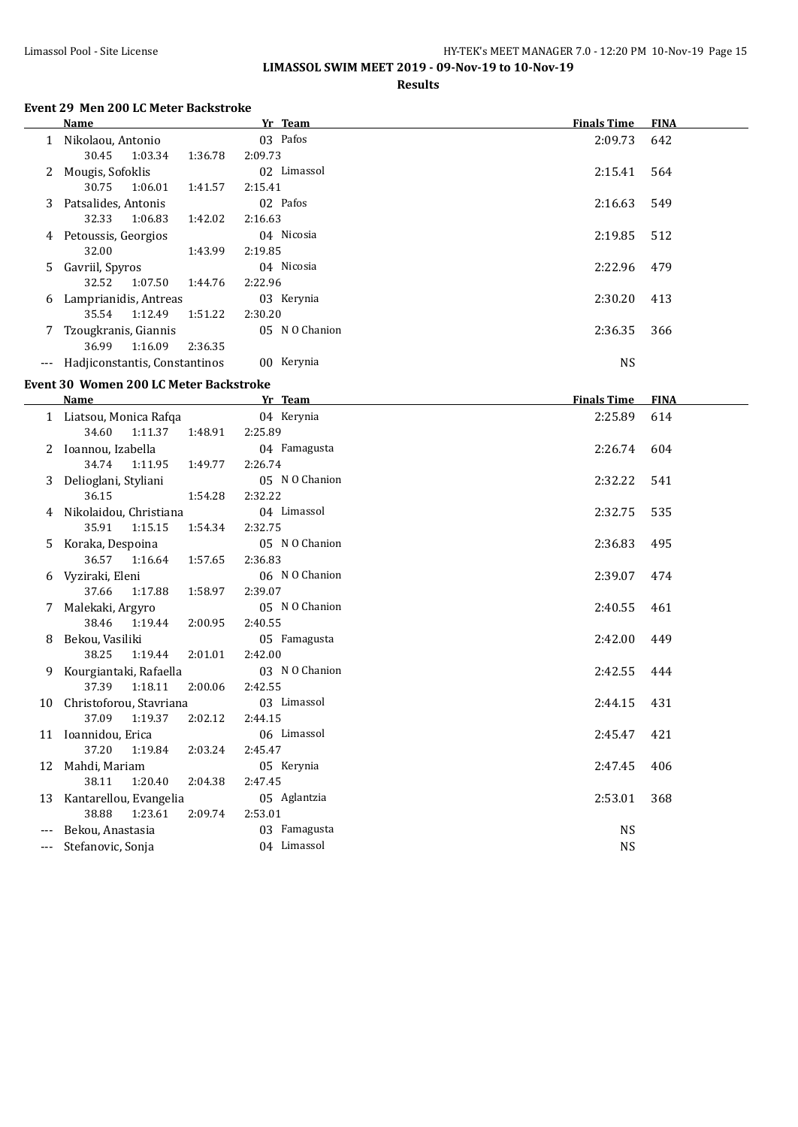L.

# Limassol Pool - Site License HY-TEK's MEET MANAGER 7.0 - 12:20 PM 10-Nov-19 Page 15 **LIMASSOL SWIM MEET 2019 - 09-Nov-19 to 10-Nov-19**

## **Results**

# **Event 29 Men 200 LC Meter Backstroke**

|              | Name                          |         |         | Yr Team        | <b>Finals Time</b> | <b>FINA</b> |
|--------------|-------------------------------|---------|---------|----------------|--------------------|-------------|
|              | 1 Nikolaou, Antonio           |         |         | 03 Pafos       | 2:09.73            | 642         |
|              | 30.45                         | 1:03.34 | 1:36.78 | 2:09.73        |                    |             |
| $\mathbf{Z}$ | Mougis, Sofoklis              |         |         | 02 Limassol    | 2:15.41            | 564         |
|              | 30.75                         | 1:06.01 | 1:41.57 | 2:15.41        |                    |             |
|              | 3 Patsalides, Antonis         |         |         | 02 Pafos       | 2:16.63            | 549         |
|              | 32.33                         | 1:06.83 | 1:42.02 | 2:16.63        |                    |             |
|              | 4 Petoussis, Georgios         |         |         | 04 Nicosia     | 2:19.85            | 512         |
|              | 32.00                         |         | 1:43.99 | 2:19.85        |                    |             |
|              | 5 Gavriil, Spyros             |         |         | 04 Nicosia     | 2:22.96            | 479         |
|              | 32.52                         | 1:07.50 | 1:44.76 | 2:22.96        |                    |             |
| 6            | Lamprianidis, Antreas         |         |         | 03 Kerynia     | 2:30.20            | 413         |
|              | 35.54                         | 1:12.49 | 1:51.22 | 2:30.20        |                    |             |
|              | 7 Tzougkranis, Giannis        |         |         | 05 N O Chanion | 2:36.35            | 366         |
|              | 36.99                         | 1:16.09 | 2:36.35 |                |                    |             |
| $---$        | Hadiiconstantis, Constantinos |         |         | 00 Kerynia     | <b>NS</b>          |             |

### **Event 30 Women 200 LC Meter Backstroke**

|     | Name                     | Yr Team            | <b>Finals Time</b> | <b>FINA</b> |
|-----|--------------------------|--------------------|--------------------|-------------|
|     | 1 Liatsou, Monica Rafqa  | 04 Kerynia         | 2:25.89            | 614         |
|     | 34.60 1:11.37            | 1:48.91<br>2:25.89 |                    |             |
| 2   | Ioannou, Izabella        | 04 Famagusta       | 2:26.74            | 604         |
|     | 34.74<br>1:11.95         | 2:26.74<br>1:49.77 |                    |             |
|     | Delioglani, Styliani     | 05 N O Chanion     | 2:32.22            | 541         |
|     | 36.15                    | 1:54.28<br>2:32.22 |                    |             |
|     | 4 Nikolaidou, Christiana | 04 Limassol        | 2:32.75            | 535         |
|     | 35.91 1:15.15            | 2:32.75<br>1:54.34 |                    |             |
| 5.  | Koraka, Despoina         | 05 N O Chanion     | 2:36.83            | 495         |
|     | 36.57 1:16.64<br>1:57.65 | 2:36.83            |                    |             |
| 6   | Vyziraki, Eleni          | 06 N O Chanion     | 2:39.07            | 474         |
|     | 37.66<br>1:17.88         | 1:58.97<br>2:39.07 |                    |             |
| 7   | Malekaki, Argyro         | 05 N O Chanion     | 2:40.55            | 461         |
|     | 38.46<br>1:19.44         | 2:40.55<br>2:00.95 |                    |             |
| 8   | Bekou, Vasiliki          | 05 Famagusta       | 2:42.00            | 449         |
|     | 38.25<br>1:19.44         | 2:01.01<br>2:42.00 |                    |             |
| 9.  | Kourgiantaki, Rafaella   | 03 N O Chanion     | 2:42.55            | 444         |
|     | 37.39 1:18.11            | 2:00.06<br>2:42.55 |                    |             |
| 10  | Christoforou, Stavriana  | 03 Limassol        | 2:44.15            | 431         |
|     | 37.09 1:19.37            | 2:44.15<br>2:02.12 |                    |             |
| 11  | Ioannidou, Erica         | 06 Limassol        | 2:45.47            | 421         |
|     | 37.20 1:19.84            | 2:03.24<br>2:45.47 |                    |             |
| 12  | Mahdi, Mariam            | 05 Kerynia         | 2:47.45            | 406         |
|     | 38.11<br>1:20.40         | 2:04.38<br>2:47.45 |                    |             |
| 13  | Kantarellou, Evangelia   | 05 Aglantzia       | 2:53.01            | 368         |
|     | 38.88<br>1:23.61         | 2:09.74<br>2:53.01 |                    |             |
|     | Bekou, Anastasia         | 03 Famagusta       | <b>NS</b>          |             |
| --- | Stefanovic, Sonja        | 04 Limassol        | <b>NS</b>          |             |